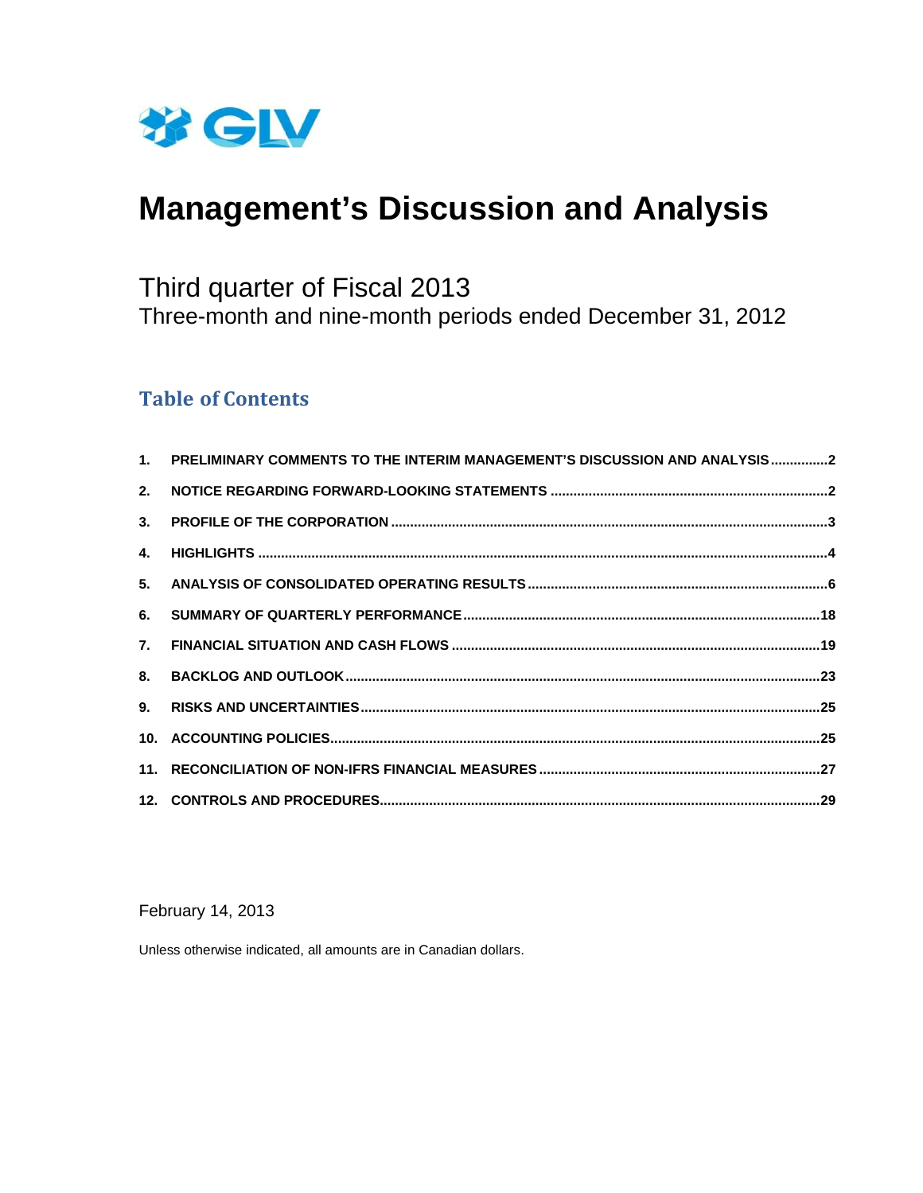

# **Management's Discussion and Analysis**

## Third quarter of Fiscal 2013 Three-month and nine-month periods ended December 31, 2012

## **Table of Contents**

| 1. PRELIMINARY COMMENTS TO THE INTERIM MANAGEMENT'S DISCUSSION AND ANALYSIS2 |  |
|------------------------------------------------------------------------------|--|
|                                                                              |  |
|                                                                              |  |
|                                                                              |  |
|                                                                              |  |
|                                                                              |  |
|                                                                              |  |
|                                                                              |  |
|                                                                              |  |
|                                                                              |  |
|                                                                              |  |
|                                                                              |  |

February 14, 2013

Unless otherwise indicated, all amounts are in Canadian dollars.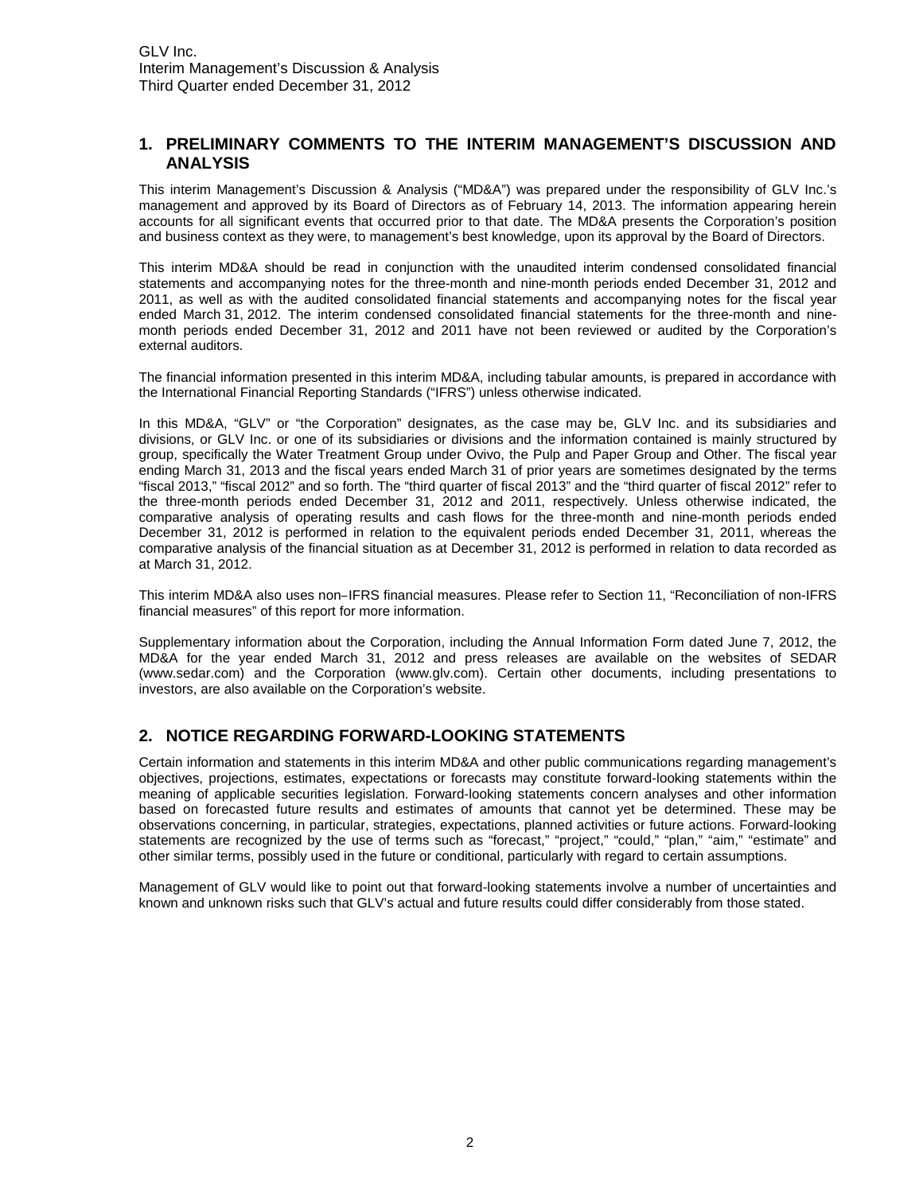## **1. PRELIMINARY COMMENTS TO THE INTERIM MANAGEMENT'S DISCUSSION AND ANALYSIS**

This interim Management's Discussion & Analysis ("MD&A") was prepared under the responsibility of GLV Inc.'s management and approved by its Board of Directors as of February 14, 2013. The information appearing herein accounts for all significant events that occurred prior to that date. The MD&A presents the Corporation's position and business context as they were, to management's best knowledge, upon its approval by the Board of Directors.

This interim MD&A should be read in conjunction with the unaudited interim condensed consolidated financial statements and accompanying notes for the three-month and nine-month periods ended December 31, 2012 and 2011, as well as with the audited consolidated financial statements and accompanying notes for the fiscal year ended March 31, 2012. The interim condensed consolidated financial statements for the three-month and ninemonth periods ended December 31, 2012 and 2011 have not been reviewed or audited by the Corporation's external auditors.

The financial information presented in this interim MD&A, including tabular amounts, is prepared in accordance with the International Financial Reporting Standards ("IFRS") unless otherwise indicated.

In this MD&A, "GLV" or "the Corporation" designates, as the case may be, GLV Inc. and its subsidiaries and divisions, or GLV Inc. or one of its subsidiaries or divisions and the information contained is mainly structured by group, specifically the Water Treatment Group under Ovivo, the Pulp and Paper Group and Other. The fiscal year ending March 31, 2013 and the fiscal years ended March 31 of prior years are sometimes designated by the terms "fiscal 2013," "fiscal 2012" and so forth. The "third quarter of fiscal 2013" and the "third quarter of fiscal 2012" refer to the three-month periods ended December 31, 2012 and 2011, respectively. Unless otherwise indicated, the comparative analysis of operating results and cash flows for the three-month and nine-month periods ended December 31, 2012 is performed in relation to the equivalent periods ended December 31, 2011, whereas the comparative analysis of the financial situation as at December 31, 2012 is performed in relation to data recorded as at March 31, 2012.

This interim MD&A also uses non-IFRS financial measures. Please refer to Section 11, "Reconciliation of non-IFRS financial measures" of this report for more information.

Supplementary information about the Corporation, including the Annual Information Form dated June 7, 2012, the MD&A for the year ended March 31, 2012 and press releases are available on the websites of SEDAR (www.sedar.com) and the Corporation (www.glv.com). Certain other documents, including presentations to investors, are also available on the Corporation's website.

## **2. NOTICE REGARDING FORWARD-LOOKING STATEMENTS**

Certain information and statements in this interim MD&A and other public communications regarding management's objectives, projections, estimates, expectations or forecasts may constitute forward-looking statements within the meaning of applicable securities legislation. Forward-looking statements concern analyses and other information based on forecasted future results and estimates of amounts that cannot yet be determined. These may be observations concerning, in particular, strategies, expectations, planned activities or future actions. Forward-looking statements are recognized by the use of terms such as "forecast," "project," "could," "plan," "aim," "estimate" and other similar terms, possibly used in the future or conditional, particularly with regard to certain assumptions.

Management of GLV would like to point out that forward-looking statements involve a number of uncertainties and known and unknown risks such that GLV's actual and future results could differ considerably from those stated.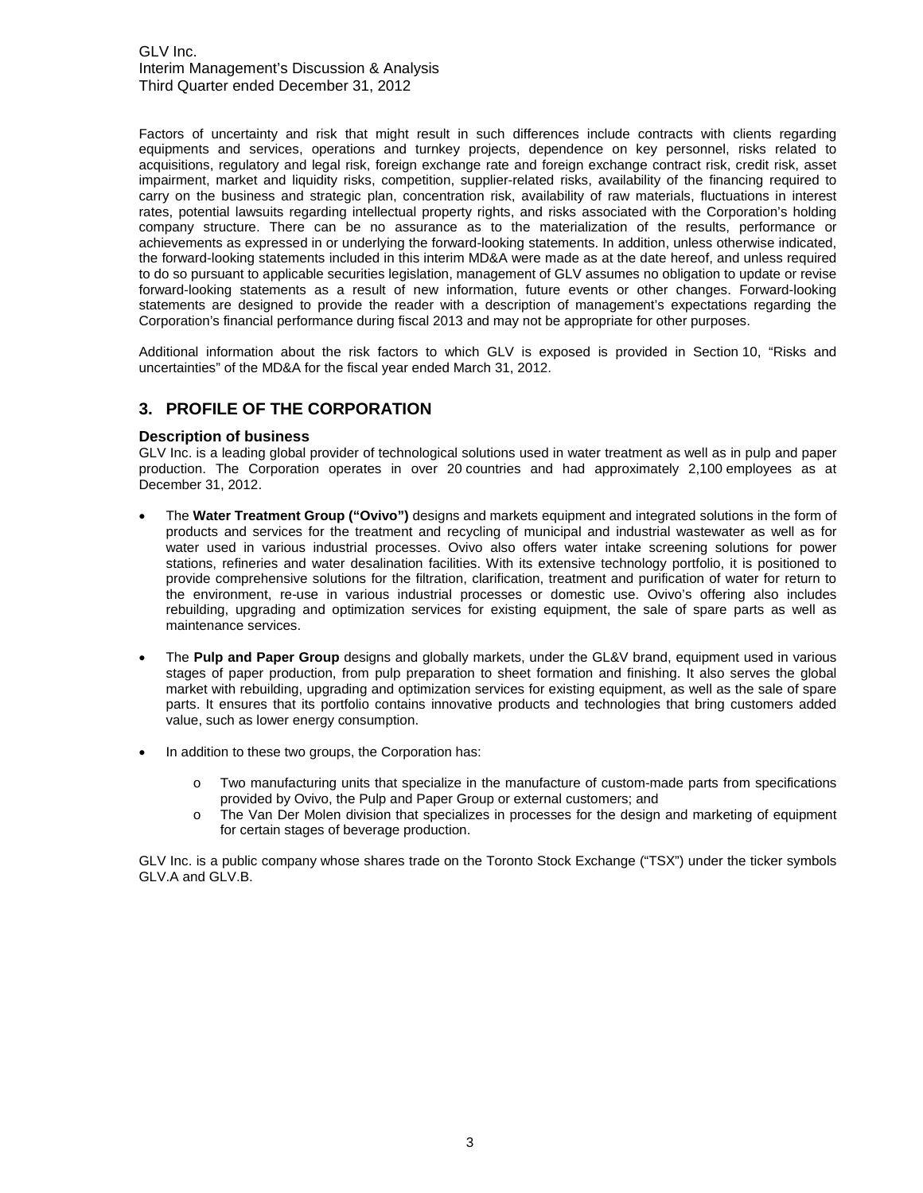Factors of uncertainty and risk that might result in such differences include contracts with clients regarding equipments and services, operations and turnkey projects, dependence on key personnel, risks related to acquisitions, regulatory and legal risk, foreign exchange rate and foreign exchange contract risk, credit risk, asset impairment, market and liquidity risks, competition, supplier-related risks, availability of the financing required to carry on the business and strategic plan, concentration risk, availability of raw materials, fluctuations in interest rates, potential lawsuits regarding intellectual property rights, and risks associated with the Corporation's holding company structure. There can be no assurance as to the materialization of the results, performance or achievements as expressed in or underlying the forward-looking statements. In addition, unless otherwise indicated, the forward-looking statements included in this interim MD&A were made as at the date hereof, and unless required to do so pursuant to applicable securities legislation, management of GLV assumes no obligation to update or revise forward-looking statements as a result of new information, future events or other changes. Forward-looking statements are designed to provide the reader with a description of management's expectations regarding the Corporation's financial performance during fiscal 2013 and may not be appropriate for other purposes.

Additional information about the risk factors to which GLV is exposed is provided in Section 10, "Risks and uncertainties" of the MD&A for the fiscal year ended March 31, 2012.

## **3. PROFILE OF THE CORPORATION**

#### **Description of business**

GLV Inc. is a leading global provider of technological solutions used in water treatment as well as in pulp and paper production. The Corporation operates in over 20 countries and had approximately 2,100 employees as at December 31, 2012.

- The **Water Treatment Group ("Ovivo")** designs and markets equipment and integrated solutions in the form of products and services for the treatment and recycling of municipal and industrial wastewater as well as for water used in various industrial processes. Ovivo also offers water intake screening solutions for power stations, refineries and water desalination facilities. With its extensive technology portfolio, it is positioned to provide comprehensive solutions for the filtration, clarification, treatment and purification of water for return to the environment, re-use in various industrial processes or domestic use. Ovivo's offering also includes rebuilding, upgrading and optimization services for existing equipment, the sale of spare parts as well as maintenance services.
- The **Pulp and Paper Group** designs and globally markets, under the GL&V brand, equipment used in various stages of paper production, from pulp preparation to sheet formation and finishing. It also serves the global market with rebuilding, upgrading and optimization services for existing equipment, as well as the sale of spare parts. It ensures that its portfolio contains innovative products and technologies that bring customers added value, such as lower energy consumption.
- In addition to these two groups, the Corporation has:
	- o Two manufacturing units that specialize in the manufacture of custom-made parts from specifications provided by Ovivo, the Pulp and Paper Group or external customers; and
	- o The Van Der Molen division that specializes in processes for the design and marketing of equipment for certain stages of beverage production.

GLV Inc. is a public company whose shares trade on the Toronto Stock Exchange ("TSX") under the ticker symbols GLV.A and GLV.B.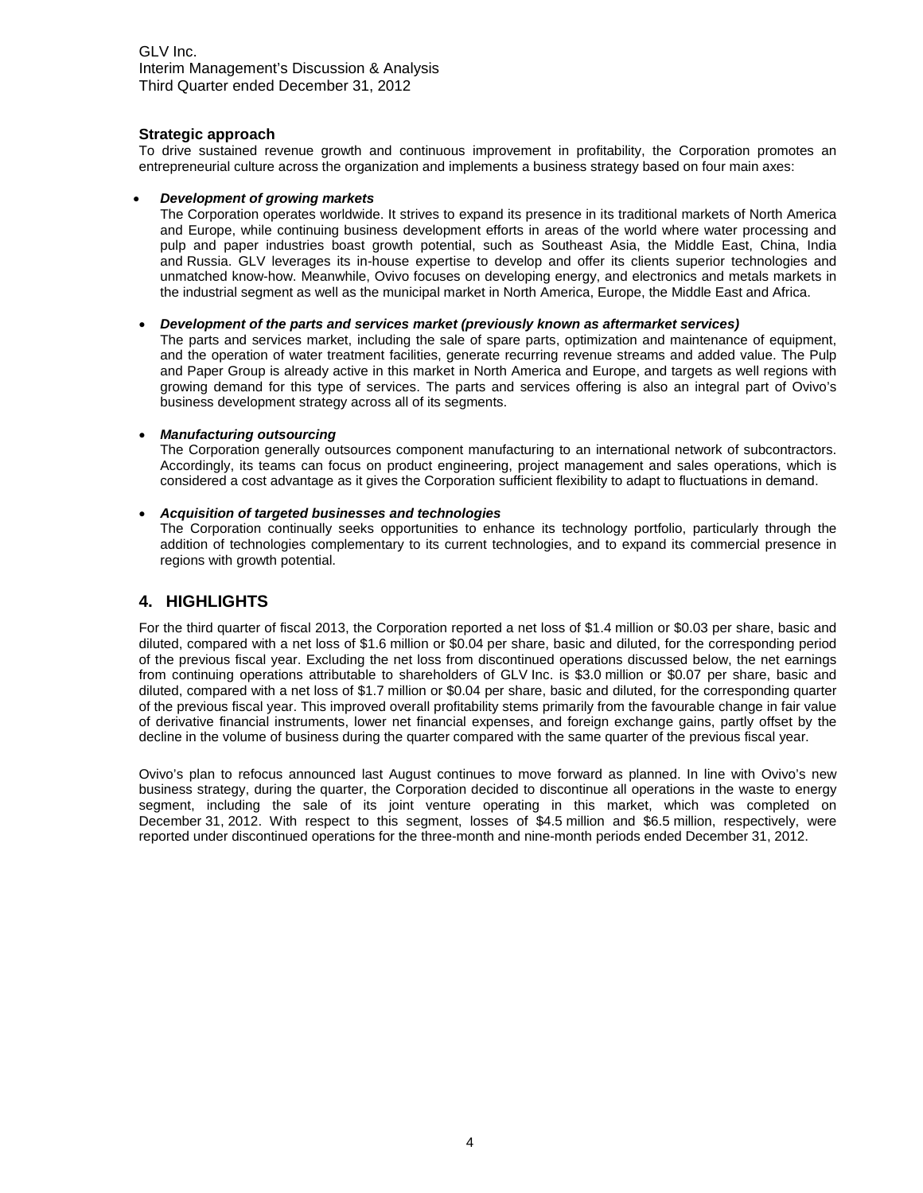#### **Strategic approach**

To drive sustained revenue growth and continuous improvement in profitability, the Corporation promotes an entrepreneurial culture across the organization and implements a business strategy based on four main axes:

#### *Development of growing markets*

The Corporation operates worldwide. It strives to expand its presence in its traditional markets of North America and Europe, while continuing business development efforts in areas of the world where water processing and pulp and paper industries boast growth potential, such as Southeast Asia, the Middle East, China, India and Russia. GLV leverages its in-house expertise to develop and offer its clients superior technologies and unmatched know-how. Meanwhile, Ovivo focuses on developing energy, and electronics and metals markets in the industrial segment as well as the municipal market in North America, Europe, the Middle East and Africa.

#### *Development of the parts and services market (previously known as aftermarket services)*

The parts and services market, including the sale of spare parts, optimization and maintenance of equipment, and the operation of water treatment facilities, generate recurring revenue streams and added value. The Pulp and Paper Group is already active in this market in North America and Europe, and targets as well regions with growing demand for this type of services. The parts and services offering is also an integral part of Ovivo's business development strategy across all of its segments.

#### *Manufacturing outsourcing*

The Corporation generally outsources component manufacturing to an international network of subcontractors. Accordingly, its teams can focus on product engineering, project management and sales operations, which is considered a cost advantage as it gives the Corporation sufficient flexibility to adapt to fluctuations in demand.

#### *Acquisition of targeted businesses and technologies*

The Corporation continually seeks opportunities to enhance its technology portfolio, particularly through the addition of technologies complementary to its current technologies, and to expand its commercial presence in regions with growth potential.

#### **4. HIGHLIGHTS**

For the third quarter of fiscal 2013, the Corporation reported a net loss of \$1.4 million or \$0.03 per share, basic and diluted, compared with a net loss of \$1.6 million or \$0.04 per share, basic and diluted, for the corresponding period of the previous fiscal year. Excluding the net loss from discontinued operations discussed below, the net earnings from continuing operations attributable to shareholders of GLV Inc. is \$3.0 million or \$0.07 per share, basic and diluted, compared with a net loss of \$1.7 million or \$0.04 per share, basic and diluted, for the corresponding quarter of the previous fiscal year. This improved overall profitability stems primarily from the favourable change in fair value of derivative financial instruments, lower net financial expenses, and foreign exchange gains, partly offset by the decline in the volume of business during the quarter compared with the same quarter of the previous fiscal year.

Ovivo's plan to refocus announced last August continues to move forward as planned. In line with Ovivo's new business strategy, during the quarter, the Corporation decided to discontinue all operations in the waste to energy segment, including the sale of its joint venture operating in this market, which was completed on December 31, 2012. With respect to this segment, losses of \$4.5 million and \$6.5 million, respectively, were reported under discontinued operations for the three-month and nine-month periods ended December 31, 2012.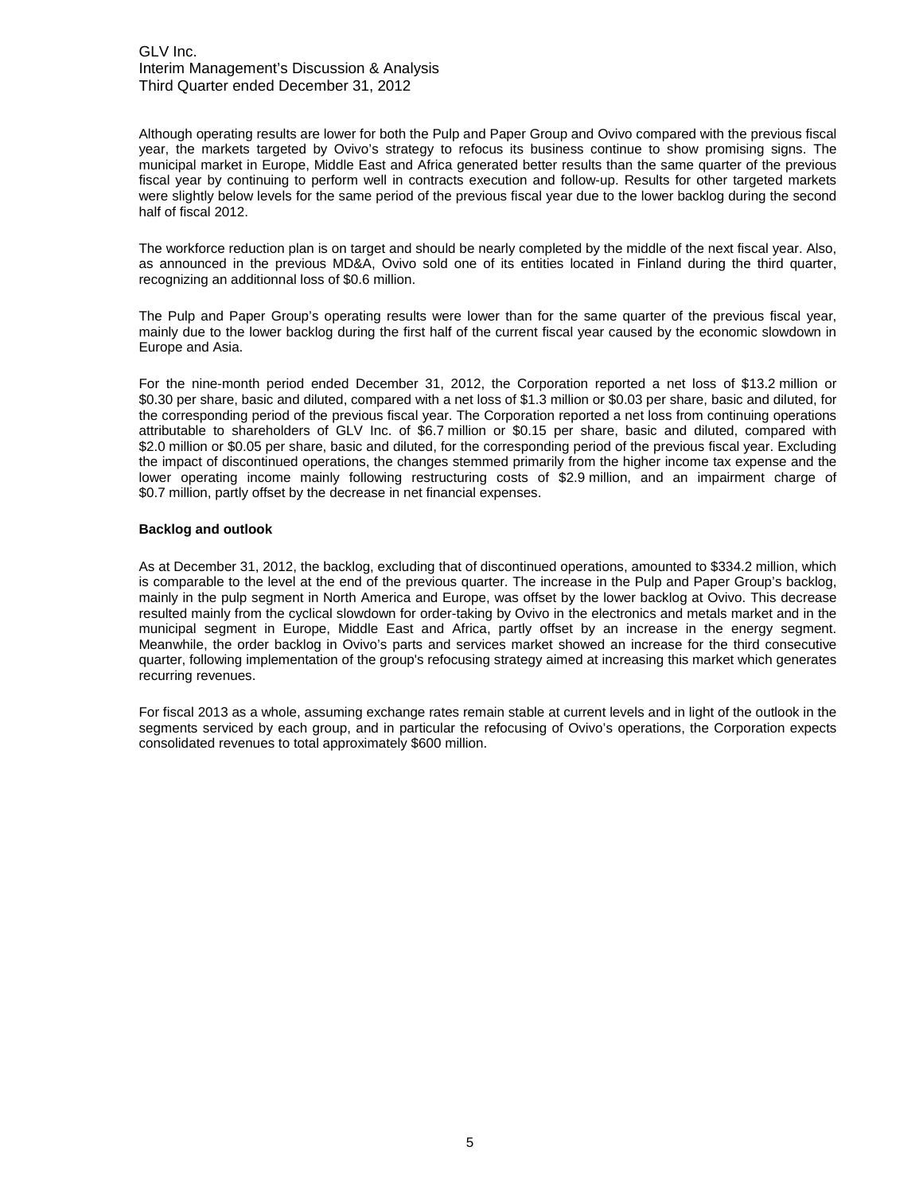Although operating results are lower for both the Pulp and Paper Group and Ovivo compared with the previous fiscal year, the markets targeted by Ovivo's strategy to refocus its business continue to show promising signs. The municipal market in Europe, Middle East and Africa generated better results than the same quarter of the previous fiscal year by continuing to perform well in contracts execution and follow-up. Results for other targeted markets were slightly below levels for the same period of the previous fiscal year due to the lower backlog during the second half of fiscal 2012.

The workforce reduction plan is on target and should be nearly completed by the middle of the next fiscal year. Also, as announced in the previous MD&A, Ovivo sold one of its entities located in Finland during the third quarter, recognizing an additionnal loss of \$0.6 million.

The Pulp and Paper Group's operating results were lower than for the same quarter of the previous fiscal year, mainly due to the lower backlog during the first half of the current fiscal year caused by the economic slowdown in Europe and Asia.

For the nine-month period ended December 31, 2012, the Corporation reported a net loss of \$13.2 million or \$0.30 per share, basic and diluted, compared with a net loss of \$1.3 million or \$0.03 per share, basic and diluted, for the corresponding period of the previous fiscal year. The Corporation reported a net loss from continuing operations attributable to shareholders of GLV Inc. of \$6.7 million or \$0.15 per share, basic and diluted, compared with \$2.0 million or \$0.05 per share, basic and diluted, for the corresponding period of the previous fiscal year. Excluding the impact of discontinued operations, the changes stemmed primarily from the higher income tax expense and the lower operating income mainly following restructuring costs of \$2.9 million, and an impairment charge of \$0.7 million, partly offset by the decrease in net financial expenses.

#### **Backlog and outlook**

As at December 31, 2012, the backlog, excluding that of discontinued operations, amounted to \$334.2 million, which is comparable to the level at the end of the previous quarter. The increase in the Pulp and Paper Group's backlog, mainly in the pulp segment in North America and Europe, was offset by the lower backlog at Ovivo. This decrease resulted mainly from the cyclical slowdown for order-taking by Ovivo in the electronics and metals market and in the municipal segment in Europe, Middle East and Africa, partly offset by an increase in the energy segment. Meanwhile, the order backlog in Ovivo's parts and services market showed an increase for the third consecutive quarter, following implementation of the group's refocusing strategy aimed at increasing this market which generates recurring revenues.

For fiscal 2013 as a whole, assuming exchange rates remain stable at current levels and in light of the outlook in the segments serviced by each group, and in particular the refocusing of Ovivo's operations, the Corporation expects consolidated revenues to total approximately \$600 million.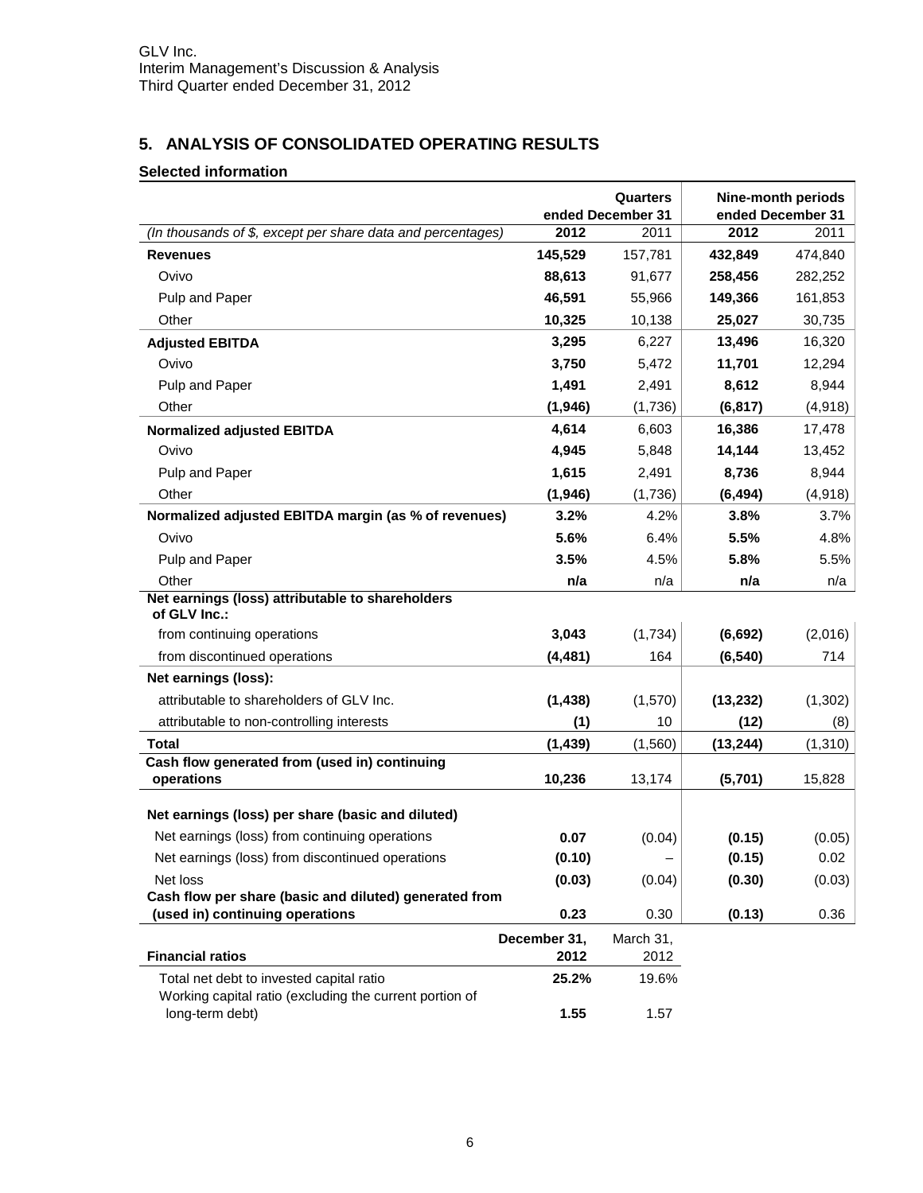## **5. ANALYSIS OF CONSOLIDATED OPERATING RESULTS**

## **Selected information**

|                                                                                                     |                      | Quarters<br>ended December 31 | <b>Nine-month periods</b><br>ended December 31 |         |  |
|-----------------------------------------------------------------------------------------------------|----------------------|-------------------------------|------------------------------------------------|---------|--|
| (In thousands of \$, except per share data and percentages)                                         | 2012                 | 2011                          | 2012                                           | 2011    |  |
| <b>Revenues</b>                                                                                     | 145,529              | 157,781                       | 432,849                                        | 474,840 |  |
| Ovivo                                                                                               | 88,613               | 91,677                        | 258,456                                        | 282,252 |  |
| Pulp and Paper                                                                                      | 46,591               | 55,966                        | 149,366                                        | 161,853 |  |
| Other                                                                                               | 10,325               | 10,138                        | 25,027                                         | 30,735  |  |
| <b>Adjusted EBITDA</b>                                                                              | 3,295                | 6,227                         | 13,496                                         | 16,320  |  |
| Ovivo                                                                                               | 3,750                | 5,472                         | 11,701                                         | 12,294  |  |
| Pulp and Paper                                                                                      | 1,491                | 2,491                         | 8,612                                          | 8,944   |  |
| Other                                                                                               | (1,946)              | (1,736)                       | (6, 817)                                       | (4,918) |  |
| <b>Normalized adjusted EBITDA</b>                                                                   | 4,614                | 6,603                         | 16,386                                         | 17,478  |  |
| Ovivo                                                                                               | 4,945                | 5,848                         | 14,144                                         | 13,452  |  |
| Pulp and Paper                                                                                      | 1,615                | 2,491                         | 8,736                                          | 8,944   |  |
| Other                                                                                               | (1, 946)             | (1,736)                       | (6, 494)                                       | (4,918) |  |
| Normalized adjusted EBITDA margin (as % of revenues)                                                | 3.2%                 | 4.2%                          | 3.8%                                           | 3.7%    |  |
| Ovivo                                                                                               | 5.6%                 | 6.4%                          | 5.5%                                           | 4.8%    |  |
| Pulp and Paper                                                                                      | 3.5%                 | 4.5%                          | 5.8%                                           | 5.5%    |  |
| Other                                                                                               | n/a                  | n/a                           | n/a                                            | n/a     |  |
| Net earnings (loss) attributable to shareholders<br>of GLV Inc.:                                    |                      |                               |                                                |         |  |
| from continuing operations                                                                          | 3,043                | (1,734)                       | (6, 692)                                       | (2,016) |  |
| from discontinued operations                                                                        | (4, 481)             | 164                           | (6, 540)                                       | 714     |  |
| Net earnings (loss):                                                                                |                      |                               |                                                |         |  |
| attributable to shareholders of GLV Inc.                                                            | (1, 438)             | (1,570)                       | (13, 232)                                      | (1,302) |  |
| attributable to non-controlling interests                                                           | (1)                  | 10                            | (12)                                           | (8)     |  |
| Total                                                                                               | (1, 439)             | (1,560)                       | (13, 244)                                      | (1,310) |  |
| Cash flow generated from (used in) continuing                                                       |                      |                               |                                                |         |  |
| operations                                                                                          | 10,236               | 13,174                        | (5,701)                                        | 15,828  |  |
| Net earnings (loss) per share (basic and diluted)                                                   |                      |                               |                                                |         |  |
| Net earnings (loss) from continuing operations                                                      | 0.07                 | (0.04)                        | (0.15)                                         | (0.05)  |  |
| Net earnings (loss) from discontinued operations                                                    | (0.10)               |                               | (0.15)                                         | 0.02    |  |
| Net loss                                                                                            | (0.03)               | (0.04)                        | (0.30)                                         | (0.03)  |  |
| Cash flow per share (basic and diluted) generated from                                              |                      |                               |                                                |         |  |
| (used in) continuing operations                                                                     | 0.23                 | 0.30                          | (0.13)                                         | 0.36    |  |
| <b>Financial ratios</b>                                                                             | December 31,<br>2012 | March 31,<br>2012             |                                                |         |  |
| Total net debt to invested capital ratio<br>Working capital ratio (excluding the current portion of | 25.2%                | 19.6%                         |                                                |         |  |
| long-term debt)                                                                                     | 1.55                 | 1.57                          |                                                |         |  |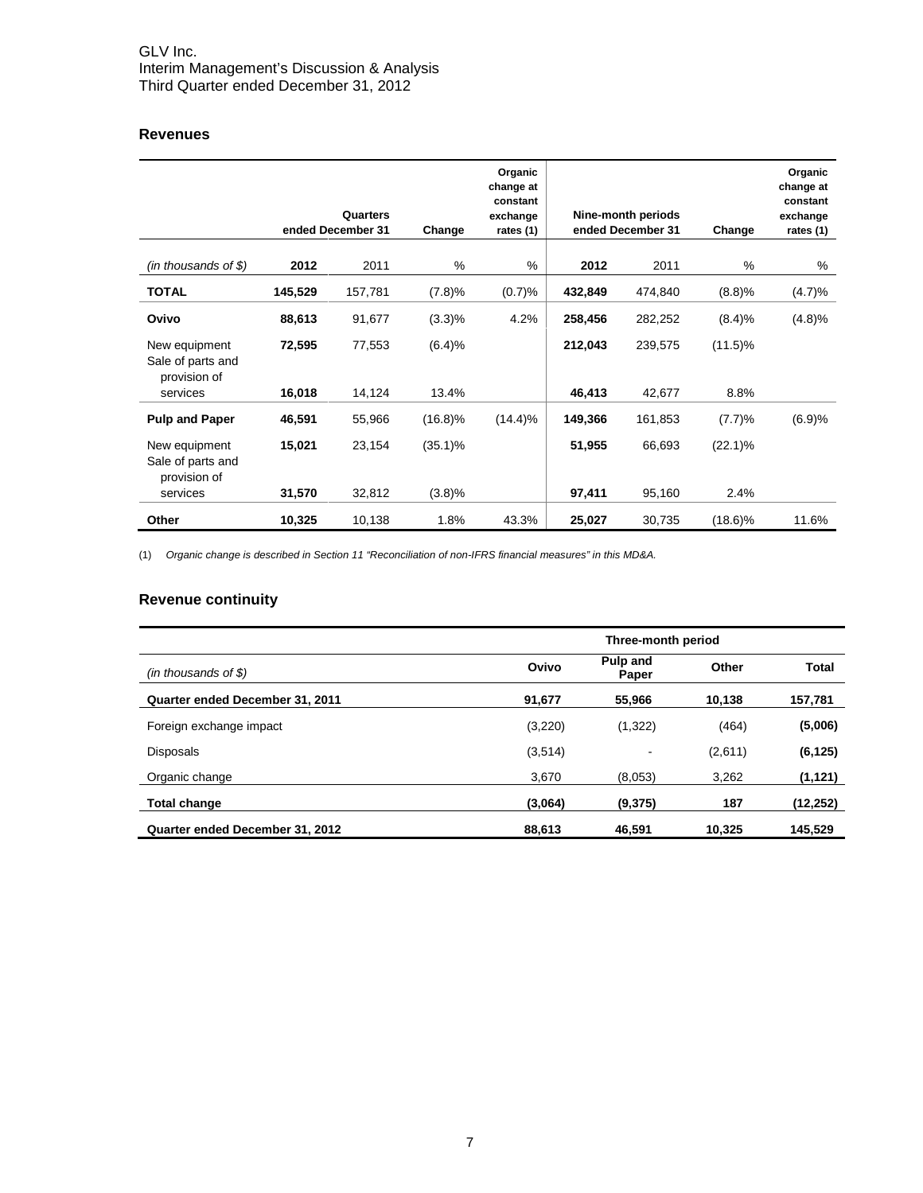## **Revenues**

|                                                    | Quarters<br>ended December 31 |         | Organic<br>change at<br>constant<br>exchange<br>Change<br>rates (1) |         |         |         | Nine-month periods<br>ended December 31 | Organic<br>change at<br>constant<br>exchange<br>rates (1) |
|----------------------------------------------------|-------------------------------|---------|---------------------------------------------------------------------|---------|---------|---------|-----------------------------------------|-----------------------------------------------------------|
| $(in$ thousands of \$)                             | 2012                          | 2011    | $\%$                                                                | %       | 2012    | 2011    | %                                       | %                                                         |
| <b>TOTAL</b>                                       | 145,529                       | 157,781 | (7.8)%                                                              | (0.7)%  | 432,849 | 474,840 | (8.8)%                                  | (4.7)%                                                    |
| Ovivo                                              | 88,613                        | 91,677  | $(3.3)\%$                                                           | 4.2%    | 258,456 | 282,252 | (8.4)%                                  | (4.8)%                                                    |
| New equipment<br>Sale of parts and                 | 72,595                        | 77,553  | (6.4)%                                                              |         | 212,043 | 239,575 | $(11.5)\%$                              |                                                           |
| provision of<br>services                           | 16,018                        | 14,124  | 13.4%                                                               |         | 46,413  | 42,677  | 8.8%                                    |                                                           |
| <b>Pulp and Paper</b>                              | 46,591                        | 55,966  | $(16.8)\%$                                                          | (14.4)% | 149,366 | 161,853 | (7.7)%                                  | (6.9)%                                                    |
| New equipment<br>Sale of parts and<br>provision of | 15,021                        | 23,154  | $(35.1)\%$                                                          |         | 51,955  | 66,693  | $(22.1)\%$                              |                                                           |
| services                                           | 31,570                        | 32,812  | (3.8)%                                                              |         | 97,411  | 95,160  | 2.4%                                    |                                                           |
| Other                                              | 10,325                        | 10,138  | 1.8%                                                                | 43.3%   | 25,027  | 30,735  | $(18.6)\%$                              | 11.6%                                                     |

(1) *Organic change is described in Section 11 "Reconciliation of non-IFRS financial measures" in this MD&A.*

## **Revenue continuity**

|                                 | Three-month period |                   |         |              |  |  |  |  |
|---------------------------------|--------------------|-------------------|---------|--------------|--|--|--|--|
| $(in$ thousands of \$)          | Ovivo              | Pulp and<br>Paper | Other   | <b>Total</b> |  |  |  |  |
| Quarter ended December 31, 2011 | 91,677             | 55,966            | 10,138  | 157,781      |  |  |  |  |
| Foreign exchange impact         | (3,220)            | (1,322)           | (464)   | (5,006)      |  |  |  |  |
| <b>Disposals</b>                | (3,514)            | ٠                 | (2,611) | (6, 125)     |  |  |  |  |
| Organic change                  | 3.670              | (8,053)           | 3.262   | (1, 121)     |  |  |  |  |
| <b>Total change</b>             | (3,064)            | (9,375)           | 187     | (12, 252)    |  |  |  |  |
| Quarter ended December 31, 2012 | 88,613             | 46,591            | 10,325  | 145,529      |  |  |  |  |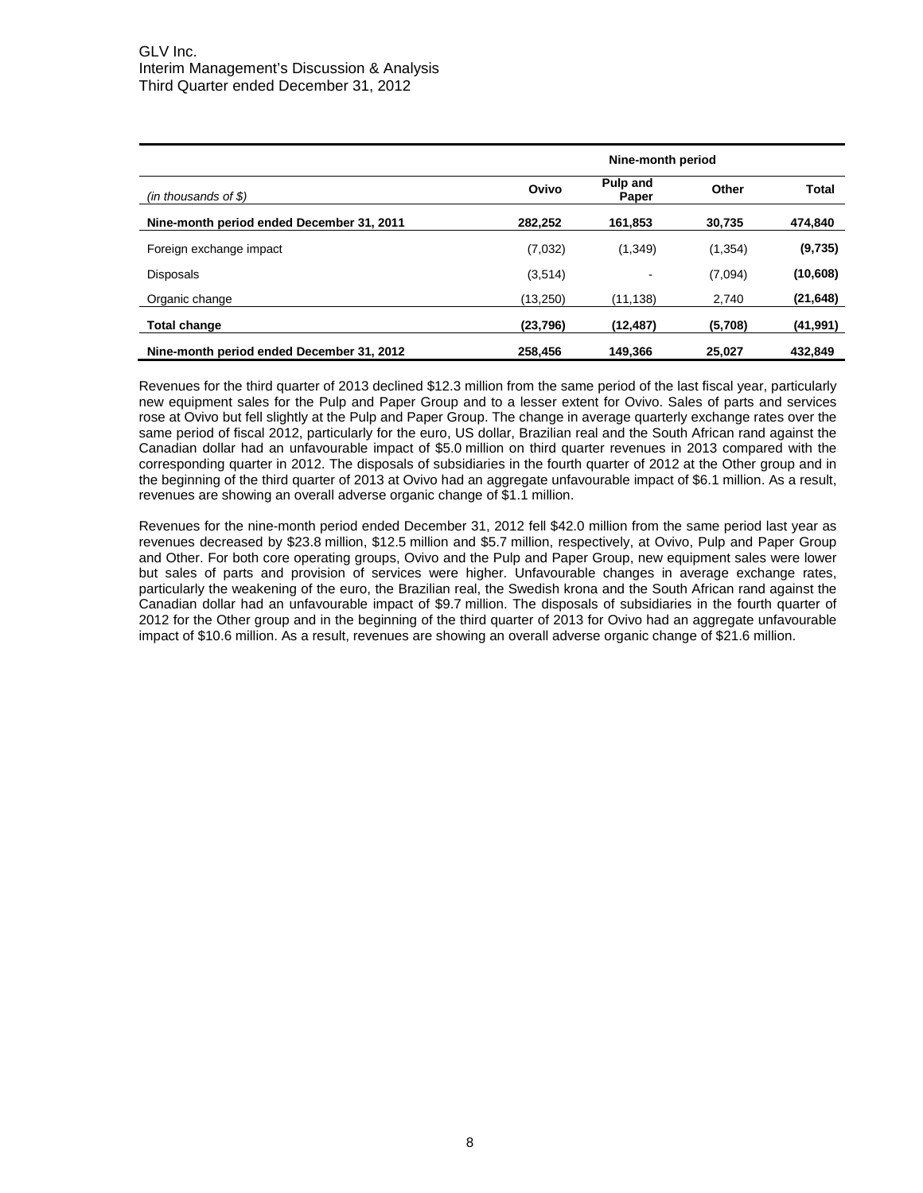|                                           | Nine-month period |                   |          |           |  |  |  |  |
|-------------------------------------------|-------------------|-------------------|----------|-----------|--|--|--|--|
| $(in$ thousands of \$)                    | Ovivo             | Pulp and<br>Paper | Other    | Total     |  |  |  |  |
| Nine-month period ended December 31, 2011 | 282,252           | 161,853           | 30,735   | 474,840   |  |  |  |  |
| Foreign exchange impact                   | (7,032)           | (1, 349)          | (1, 354) | (9,735)   |  |  |  |  |
| <b>Disposals</b>                          | (3,514)           |                   | (7,094)  | (10,608)  |  |  |  |  |
| Organic change                            | (13, 250)         | (11,138)          | 2,740    | (21, 648) |  |  |  |  |
| <b>Total change</b>                       | (23, 796)         | (12,487)          | (5,708)  | (41, 991) |  |  |  |  |
| Nine-month period ended December 31, 2012 | 258.456           | 149,366           | 25,027   | 432,849   |  |  |  |  |

Revenues for the third quarter of 2013 declined \$12.3 million from the same period of the last fiscal year, particularly new equipment sales for the Pulp and Paper Group and to a lesser extent for Ovivo. Sales of parts and services rose at Ovivo but fell slightly at the Pulp and Paper Group. The change in average quarterly exchange rates over the same period of fiscal 2012, particularly for the euro, US dollar, Brazilian real and the South African rand against the Canadian dollar had an unfavourable impact of \$5.0 million on third quarter revenues in 2013 compared with the corresponding quarter in 2012. The disposals of subsidiaries in the fourth quarter of 2012 at the Other group and in the beginning of the third quarter of 2013 at Ovivo had an aggregate unfavourable impact of \$6.1 million. As a result, revenues are showing an overall adverse organic change of \$1.1 million.

Revenues for the nine-month period ended December 31, 2012 fell \$42.0 million from the same period last year as revenues decreased by \$23.8 million, \$12.5 million and \$5.7 million, respectively, at Ovivo, Pulp and Paper Group and Other. For both core operating groups, Ovivo and the Pulp and Paper Group, new equipment sales were lower but sales of parts and provision of services were higher. Unfavourable changes in average exchange rates, particularly the weakening of the euro, the Brazilian real, the Swedish krona and the South African rand against the Canadian dollar had an unfavourable impact of \$9.7 million. The disposals of subsidiaries in the fourth quarter of 2012 for the Other group and in the beginning of the third quarter of 2013 for Ovivo had an aggregate unfavourable impact of \$10.6 million. As a result, revenues are showing an overall adverse organic change of \$21.6 million.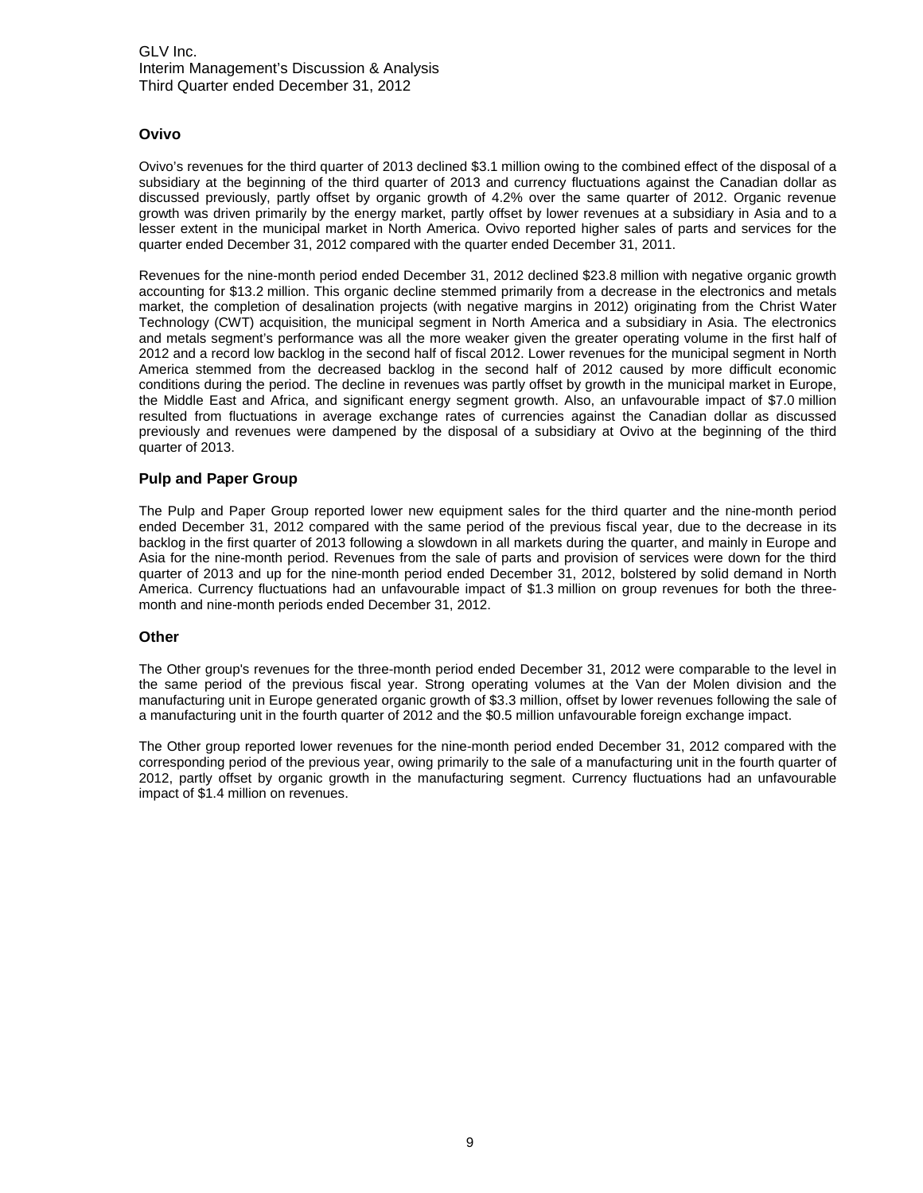#### **Ovivo**

Ovivo's revenues for the third quarter of 2013 declined \$3.1 million owing to the combined effect of the disposal of a subsidiary at the beginning of the third quarter of 2013 and currency fluctuations against the Canadian dollar as discussed previously, partly offset by organic growth of 4.2% over the same quarter of 2012. Organic revenue growth was driven primarily by the energy market, partly offset by lower revenues at a subsidiary in Asia and to a lesser extent in the municipal market in North America. Ovivo reported higher sales of parts and services for the quarter ended December 31, 2012 compared with the quarter ended December 31, 2011.

Revenues for the nine-month period ended December 31, 2012 declined \$23.8 million with negative organic growth accounting for \$13.2 million. This organic decline stemmed primarily from a decrease in the electronics and metals market, the completion of desalination projects (with negative margins in 2012) originating from the Christ Water Technology (CWT) acquisition, the municipal segment in North America and a subsidiary in Asia. The electronics and metals segment's performance was all the more weaker given the greater operating volume in the first half of 2012 and a record low backlog in the second half of fiscal 2012. Lower revenues for the municipal segment in North America stemmed from the decreased backlog in the second half of 2012 caused by more difficult economic conditions during the period. The decline in revenues was partly offset by growth in the municipal market in Europe, the Middle East and Africa, and significant energy segment growth. Also, an unfavourable impact of \$7.0 million resulted from fluctuations in average exchange rates of currencies against the Canadian dollar as discussed previously and revenues were dampened by the disposal of a subsidiary at Ovivo at the beginning of the third quarter of 2013.

#### **Pulp and Paper Group**

The Pulp and Paper Group reported lower new equipment sales for the third quarter and the nine-month period ended December 31, 2012 compared with the same period of the previous fiscal year, due to the decrease in its backlog in the first quarter of 2013 following a slowdown in all markets during the quarter, and mainly in Europe and Asia for the nine-month period. Revenues from the sale of parts and provision of services were down for the third quarter of 2013 and up for the nine-month period ended December 31, 2012, bolstered by solid demand in North America. Currency fluctuations had an unfavourable impact of \$1.3 million on group revenues for both the threemonth and nine-month periods ended December 31, 2012.

#### **Other**

The Other group's revenues for the three-month period ended December 31, 2012 were comparable to the level in the same period of the previous fiscal year. Strong operating volumes at the Van der Molen division and the manufacturing unit in Europe generated organic growth of \$3.3 million, offset by lower revenues following the sale of a manufacturing unit in the fourth quarter of 2012 and the \$0.5 million unfavourable foreign exchange impact.

The Other group reported lower revenues for the nine-month period ended December 31, 2012 compared with the corresponding period of the previous year, owing primarily to the sale of a manufacturing unit in the fourth quarter of 2012, partly offset by organic growth in the manufacturing segment. Currency fluctuations had an unfavourable impact of \$1.4 million on revenues.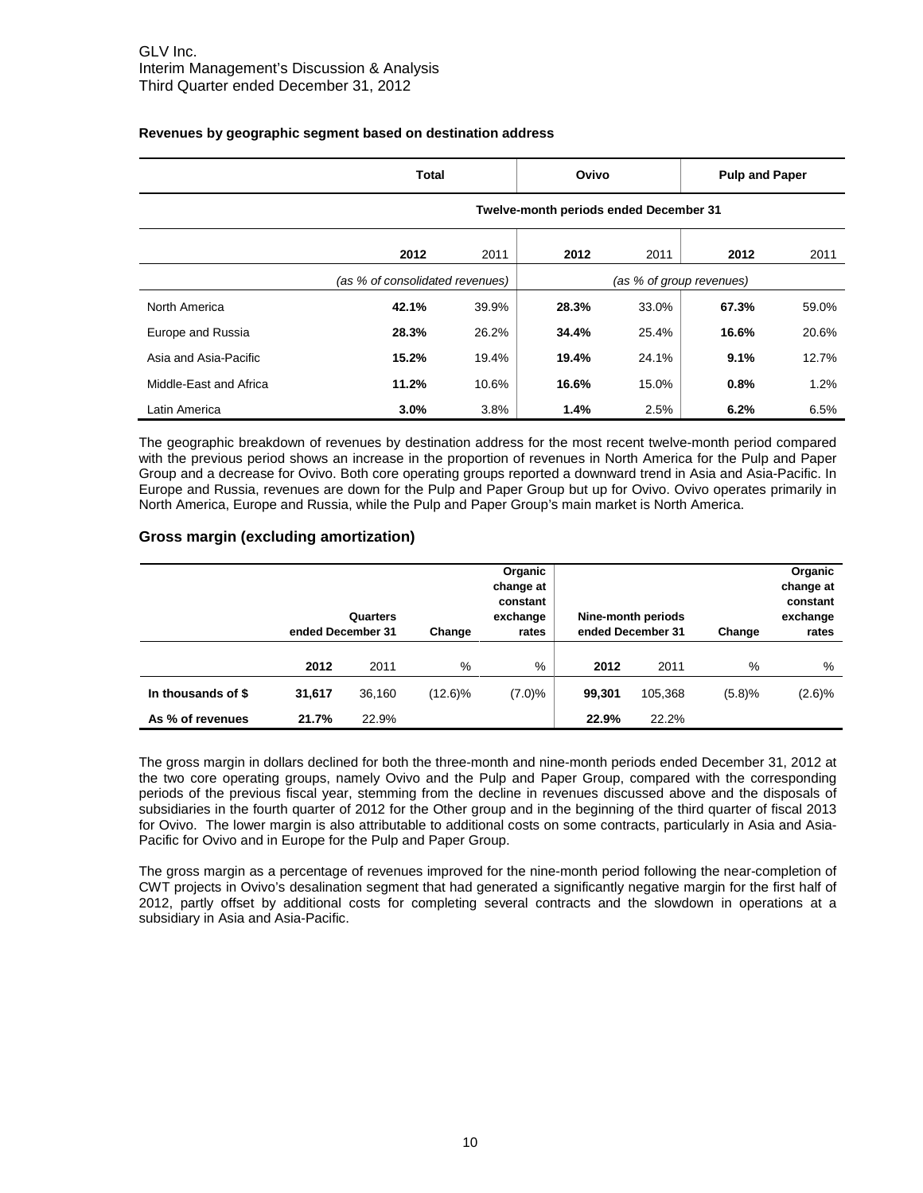|                        | <b>Total</b>                           | Ovivo |                          | <b>Pulp and Paper</b> |       |       |  |  |
|------------------------|----------------------------------------|-------|--------------------------|-----------------------|-------|-------|--|--|
|                        | Twelve-month periods ended December 31 |       |                          |                       |       |       |  |  |
|                        | 2012                                   | 2011  | 2012                     | 2011                  | 2012  | 2011  |  |  |
|                        | (as % of consolidated revenues)        |       | (as % of group revenues) |                       |       |       |  |  |
| North America          | 42.1%                                  | 39.9% | 28.3%                    | 33.0%                 | 67.3% | 59.0% |  |  |
| Europe and Russia      | 28.3%                                  | 26.2% | 34.4%                    | 25.4%                 | 16.6% | 20.6% |  |  |
| Asia and Asia-Pacific  | 15.2%                                  | 19.4% | 19.4%                    | 24.1%                 | 9.1%  | 12.7% |  |  |
| Middle-East and Africa | 11.2%                                  | 10.6% | 16.6%                    | 15.0%                 | 0.8%  | 1.2%  |  |  |
| Latin America          | 3.0%                                   | 3.8%  | 1.4%                     | 2.5%                  | 6.2%  | 6.5%  |  |  |

#### **Revenues by geographic segment based on destination address**

The geographic breakdown of revenues by destination address for the most recent twelve-month period compared with the previous period shows an increase in the proportion of revenues in North America for the Pulp and Paper Group and a decrease for Ovivo. Both core operating groups reported a downward trend in Asia and Asia-Pacific. In Europe and Russia, revenues are down for the Pulp and Paper Group but up for Ovivo. Ovivo operates primarily in North America, Europe and Russia, while the Pulp and Paper Group's main market is North America.

#### **Gross margin (excluding amortization)**

|                    | Quarters<br>ended December 31 |        | Change  | Organic<br>change at<br>constant<br>exchange<br>rates |        | Nine-month periods<br>ended December 31 | Change | Organic<br>change at<br>constant<br>exchange<br>rates |
|--------------------|-------------------------------|--------|---------|-------------------------------------------------------|--------|-----------------------------------------|--------|-------------------------------------------------------|
|                    | 2012                          | 2011   | %       | %                                                     | 2012   | 2011                                    | %      | %                                                     |
| In thousands of \$ | 31,617                        | 36,160 | (12.6)% | $(7.0)\%$                                             | 99,301 | 105.368                                 | (5.8)% | (2.6)%                                                |
| As % of revenues   | 21.7%                         | 22.9%  |         |                                                       | 22.9%  | 22.2%                                   |        |                                                       |

The gross margin in dollars declined for both the three-month and nine-month periods ended December 31, 2012 at the two core operating groups, namely Ovivo and the Pulp and Paper Group, compared with the corresponding periods of the previous fiscal year, stemming from the decline in revenues discussed above and the disposals of subsidiaries in the fourth quarter of 2012 for the Other group and in the beginning of the third quarter of fiscal 2013 for Ovivo. The lower margin is also attributable to additional costs on some contracts, particularly in Asia and Asia-Pacific for Ovivo and in Europe for the Pulp and Paper Group.

The gross margin as a percentage of revenues improved for the nine-month period following the near-completion of CWT projects in Ovivo's desalination segment that had generated a significantly negative margin for the first half of 2012, partly offset by additional costs for completing several contracts and the slowdown in operations at a subsidiary in Asia and Asia-Pacific.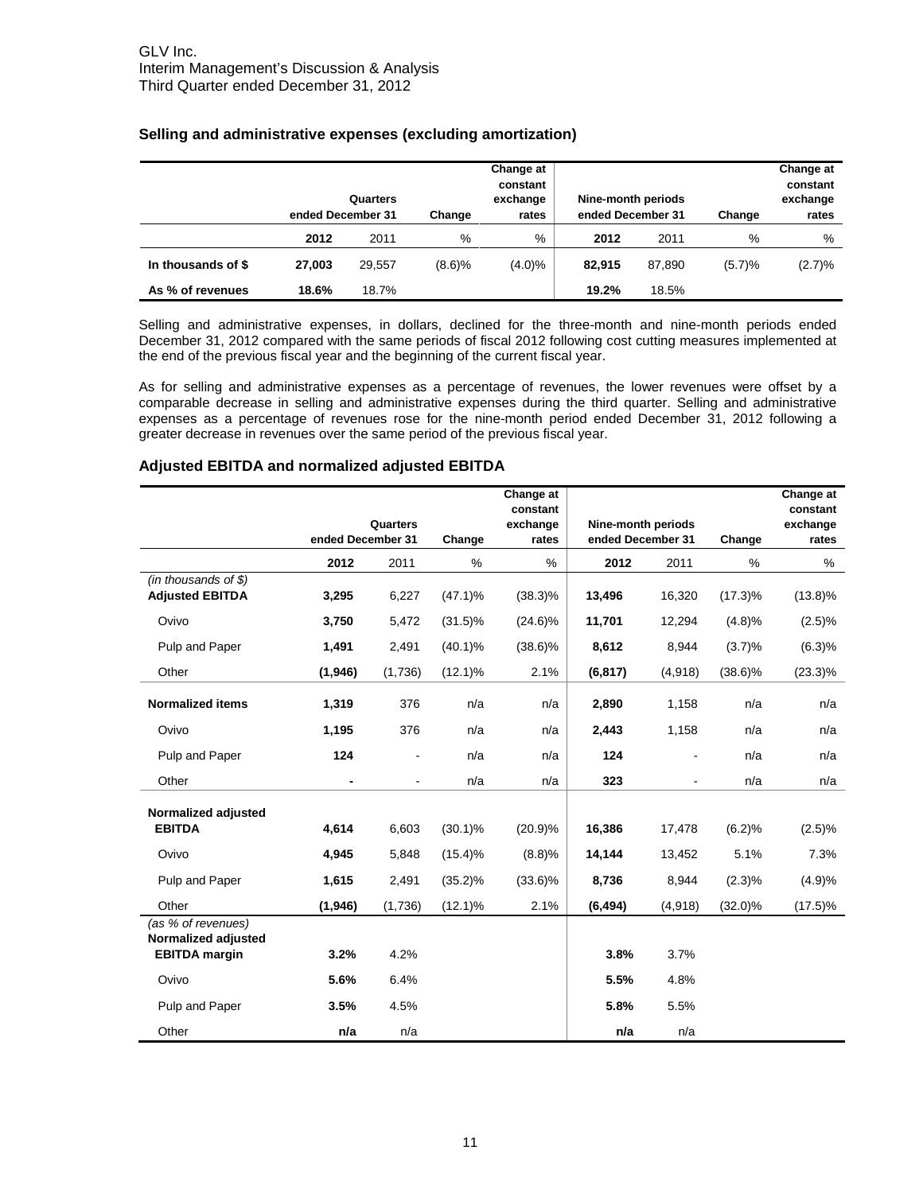|                    | ended December 31 | Quarters | Change | Change at<br>constant<br>exchange<br>rates | Nine-month periods<br>ended December 31 |        | Change | Change at<br>constant<br>exchange<br>rates |
|--------------------|-------------------|----------|--------|--------------------------------------------|-----------------------------------------|--------|--------|--------------------------------------------|
|                    | 2012              | 2011     | %      | %                                          | 2012                                    | 2011   | %      | %                                          |
| In thousands of \$ | 27.003            | 29.557   | (8.6)% | $(4.0)\%$                                  | 82.915                                  | 87.890 | (5.7)% | (2.7)%                                     |
| As % of revenues   | 18.6%             | 18.7%    |        |                                            | 19.2%                                   | 18.5%  |        |                                            |

#### **Selling and administrative expenses (excluding amortization)**

Selling and administrative expenses, in dollars, declined for the three-month and nine-month periods ended December 31, 2012 compared with the same periods of fiscal 2012 following cost cutting measures implemented at the end of the previous fiscal year and the beginning of the current fiscal year.

As for selling and administrative expenses as a percentage of revenues, the lower revenues were offset by a comparable decrease in selling and administrative expenses during the third quarter. Selling and administrative expenses as a percentage of revenues rose for the nine-month period ended December 31, 2012 following a greater decrease in revenues over the same period of the previous fiscal year.

#### **Adjusted EBITDA and normalized adjusted EBITDA**

|                                                 |                   |                |            | Change at<br>constant |                    |         |            | Change at<br>constant |
|-------------------------------------------------|-------------------|----------------|------------|-----------------------|--------------------|---------|------------|-----------------------|
|                                                 |                   | Quarters       |            | exchange              | Nine-month periods |         |            | exchange              |
|                                                 | ended December 31 |                | Change     | rates                 | ended December 31  |         | Change     | rates                 |
|                                                 | 2012              | 2011           | %          | %                     | 2012               | 2011    | %          | %                     |
| (in thousands of $$)$<br><b>Adjusted EBITDA</b> | 3,295             | 6,227          | $(47.1)\%$ | $(38.3)\%$            | 13,496             | 16,320  | $(17.3)\%$ | $(13.8)\%$            |
| Ovivo                                           | 3,750             | 5,472          | $(31.5)\%$ | $(24.6)\%$            | 11,701             | 12,294  | (4.8)%     | (2.5)%                |
| Pulp and Paper                                  | 1,491             | 2,491          | $(40.1)\%$ | $(38.6)\%$            | 8,612              | 8,944   | (3.7)%     | (6.3)%                |
| Other                                           | (1,946)           | (1,736)        | $(12.1)\%$ | 2.1%                  | (6, 817)           | (4,918) | $(38.6)\%$ | $(23.3)\%$            |
| <b>Normalized items</b>                         | 1,319             | 376            | n/a        | n/a                   | 2,890              | 1,158   | n/a        | n/a                   |
| Ovivo                                           | 1,195             | 376            | n/a        | n/a                   | 2,443              | 1,158   | n/a        | n/a                   |
| Pulp and Paper                                  | 124               |                | n/a        | n/a                   | 124                |         | n/a        | n/a                   |
| Other                                           | ۰                 | $\blacksquare$ | n/a        | n/a                   | 323                |         | n/a        | n/a                   |
| Normalized adjusted                             |                   |                |            |                       |                    |         |            |                       |
| <b>EBITDA</b>                                   | 4,614             | 6,603          | $(30.1)\%$ | (20.9)%               | 16,386             | 17,478  | (6.2)%     | (2.5)%                |
| Ovivo                                           | 4,945             | 5,848          | $(15.4)\%$ | (8.8)%                | 14,144             | 13,452  | 5.1%       | 7.3%                  |
| Pulp and Paper                                  | 1,615             | 2,491          | $(35.2)\%$ | $(33.6)\%$            | 8,736              | 8,944   | $(2.3)\%$  | (4.9)%                |
| Other                                           | (1, 946)          | (1,736)        | $(12.1)\%$ | 2.1%                  | (6, 494)           | (4,918) | $(32.0)\%$ | $(17.5)\%$            |
| (as % of revenues)<br>Normalized adjusted       |                   |                |            |                       |                    |         |            |                       |
| <b>EBITDA</b> margin                            | 3.2%              | 4.2%           |            |                       | 3.8%               | 3.7%    |            |                       |
| Ovivo                                           | 5.6%              | 6.4%           |            |                       | 5.5%               | 4.8%    |            |                       |
| Pulp and Paper                                  | 3.5%              | 4.5%           |            |                       | 5.8%               | 5.5%    |            |                       |
| Other                                           | n/a               | n/a            |            |                       | n/a                | n/a     |            |                       |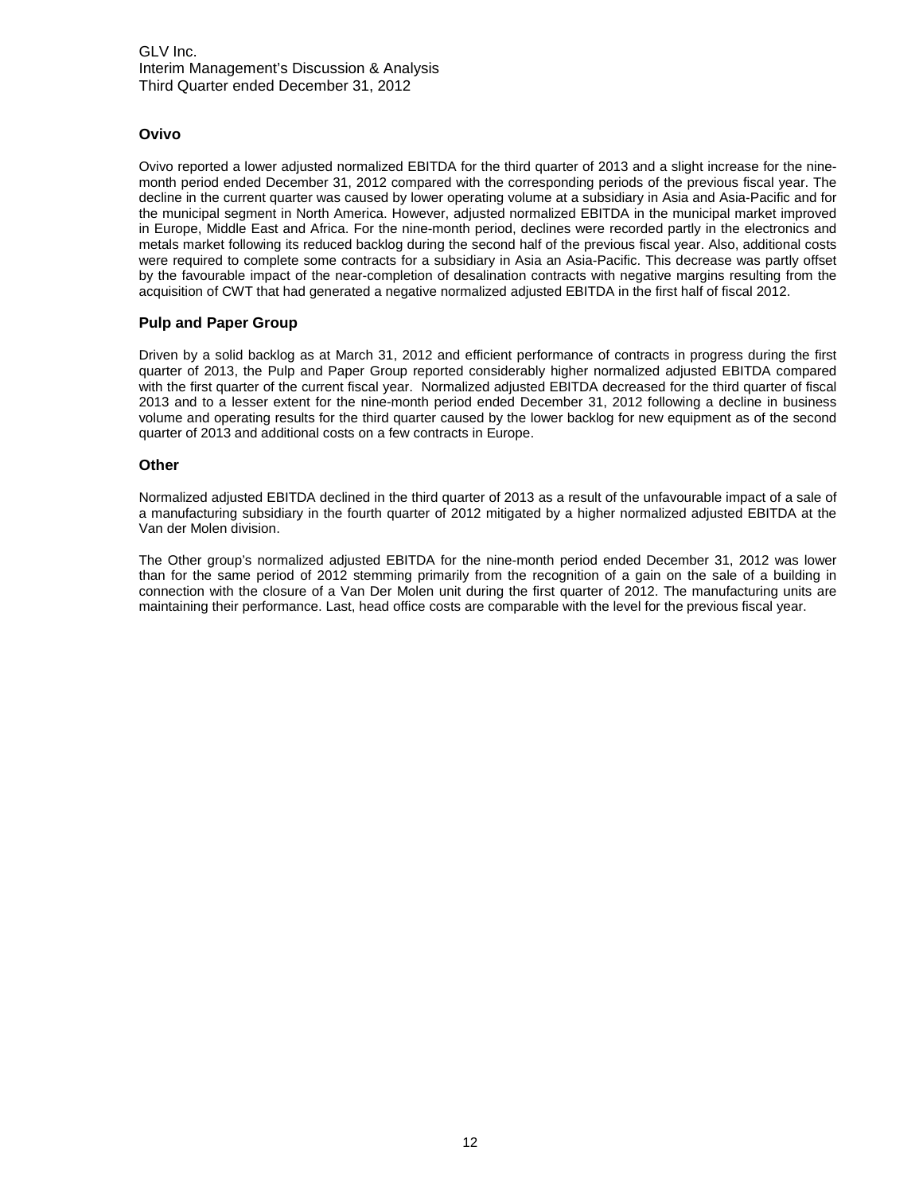#### **Ovivo**

Ovivo reported a lower adjusted normalized EBITDA for the third quarter of 2013 and a slight increase for the ninemonth period ended December 31, 2012 compared with the corresponding periods of the previous fiscal year. The decline in the current quarter was caused by lower operating volume at a subsidiary in Asia and Asia-Pacific and for the municipal segment in North America. However, adjusted normalized EBITDA in the municipal market improved in Europe, Middle East and Africa. For the nine-month period, declines were recorded partly in the electronics and metals market following its reduced backlog during the second half of the previous fiscal year. Also, additional costs were required to complete some contracts for a subsidiary in Asia an Asia-Pacific. This decrease was partly offset by the favourable impact of the near-completion of desalination contracts with negative margins resulting from the acquisition of CWT that had generated a negative normalized adjusted EBITDA in the first half of fiscal 2012.

#### **Pulp and Paper Group**

Driven by a solid backlog as at March 31, 2012 and efficient performance of contracts in progress during the first quarter of 2013, the Pulp and Paper Group reported considerably higher normalized adjusted EBITDA compared with the first quarter of the current fiscal year. Normalized adjusted EBITDA decreased for the third quarter of fiscal 2013 and to a lesser extent for the nine-month period ended December 31, 2012 following a decline in business volume and operating results for the third quarter caused by the lower backlog for new equipment as of the second quarter of 2013 and additional costs on a few contracts in Europe.

#### **Other**

Normalized adjusted EBITDA declined in the third quarter of 2013 as a result of the unfavourable impact of a sale of a manufacturing subsidiary in the fourth quarter of 2012 mitigated by a higher normalized adjusted EBITDA at the Van der Molen division.

The Other group's normalized adjusted EBITDA for the nine-month period ended December 31, 2012 was lower than for the same period of 2012 stemming primarily from the recognition of a gain on the sale of a building in connection with the closure of a Van Der Molen unit during the first quarter of 2012. The manufacturing units are maintaining their performance. Last, head office costs are comparable with the level for the previous fiscal year.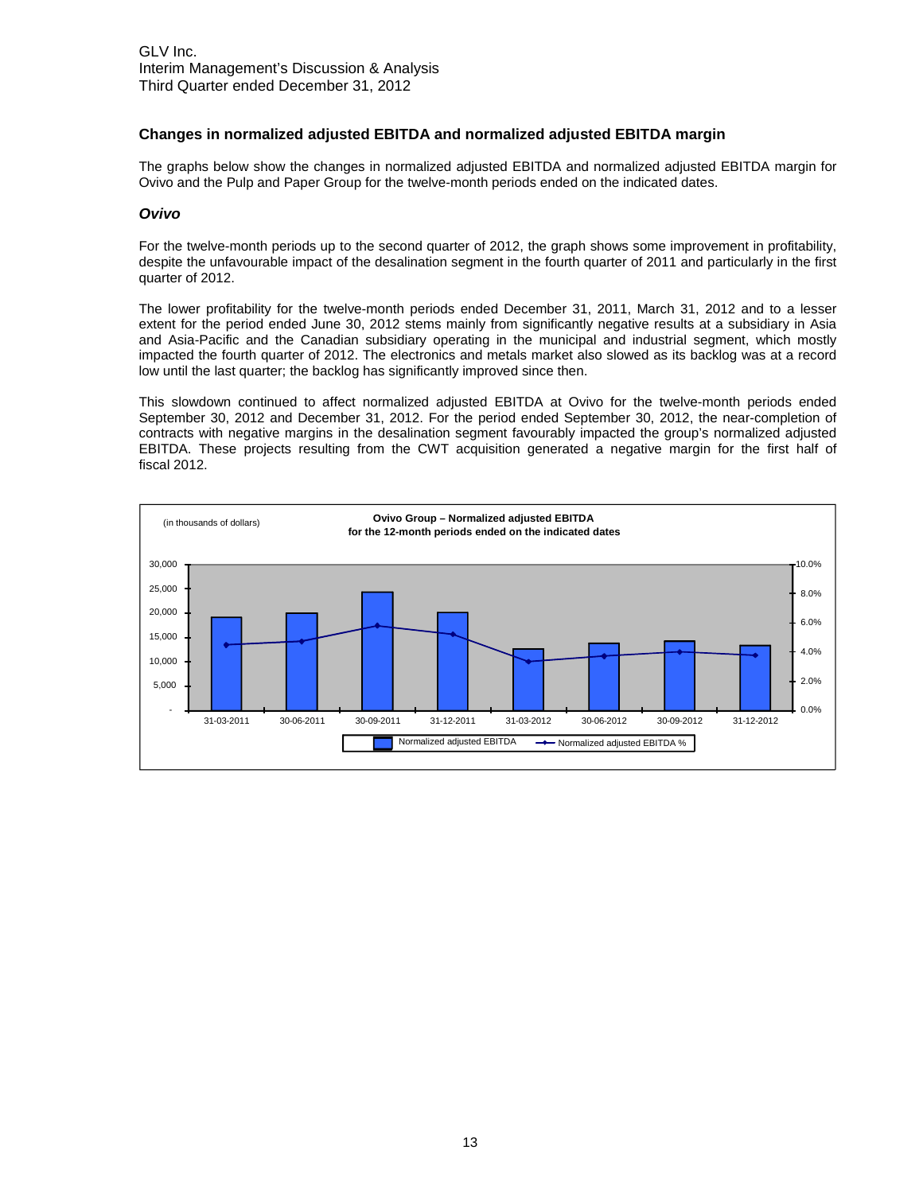#### **Changes in normalized adjusted EBITDA and normalized adjusted EBITDA margin**

The graphs below show the changes in normalized adjusted EBITDA and normalized adjusted EBITDA margin for Ovivo and the Pulp and Paper Group for the twelve-month periods ended on the indicated dates.

#### *Ovivo*

For the twelve-month periods up to the second quarter of 2012, the graph shows some improvement in profitability, despite the unfavourable impact of the desalination segment in the fourth quarter of 2011 and particularly in the first quarter of 2012.

The lower profitability for the twelve-month periods ended December 31, 2011, March 31, 2012 and to a lesser extent for the period ended June 30, 2012 stems mainly from significantly negative results at a subsidiary in Asia and Asia-Pacific and the Canadian subsidiary operating in the municipal and industrial segment, which mostly impacted the fourth quarter of 2012. The electronics and metals market also slowed as its backlog was at a record low until the last quarter; the backlog has significantly improved since then.

This slowdown continued to affect normalized adjusted EBITDA at Ovivo for the twelve-month periods ended September 30, 2012 and December 31, 2012. For the period ended September 30, 2012, the near-completion of contracts with negative margins in the desalination segment favourably impacted the group's normalized adjusted EBITDA. These projects resulting from the CWT acquisition generated a negative margin for the first half of fiscal 2012.

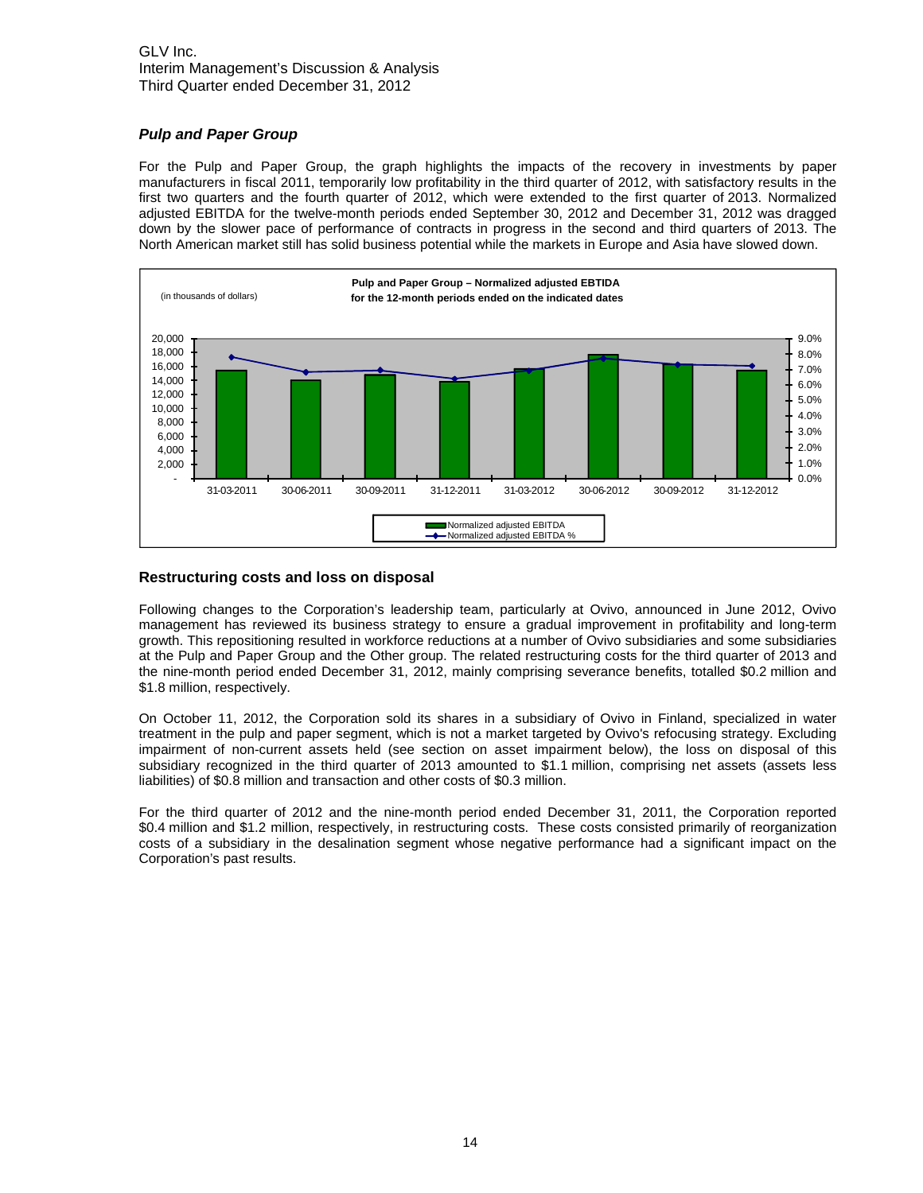### *Pulp and Paper Group*

For the Pulp and Paper Group, the graph highlights the impacts of the recovery in investments by paper manufacturers in fiscal 2011, temporarily low profitability in the third quarter of 2012, with satisfactory results in the first two quarters and the fourth quarter of 2012, which were extended to the first quarter of 2013. Normalized adjusted EBITDA for the twelve-month periods ended September 30, 2012 and December 31, 2012 was dragged down by the slower pace of performance of contracts in progress in the second and third quarters of 2013. The North American market still has solid business potential while the markets in Europe and Asia have slowed down.



#### **Restructuring costs and loss on disposal**

Following changes to the Corporation's leadership team, particularly at Ovivo, announced in June 2012, Ovivo management has reviewed its business strategy to ensure a gradual improvement in profitability and long-term growth. This repositioning resulted in workforce reductions at a number of Ovivo subsidiaries and some subsidiaries at the Pulp and Paper Group and the Other group. The related restructuring costs for the third quarter of 2013 and the nine-month period ended December 31, 2012, mainly comprising severance benefits, totalled \$0.2 million and \$1.8 million, respectively.

On October 11, 2012, the Corporation sold its shares in a subsidiary of Ovivo in Finland, specialized in water treatment in the pulp and paper segment, which is not a market targeted by Ovivo's refocusing strategy. Excluding impairment of non-current assets held (see section on asset impairment below), the loss on disposal of this subsidiary recognized in the third quarter of 2013 amounted to \$1.1 million, comprising net assets (assets less liabilities) of \$0.8 million and transaction and other costs of \$0.3 million.

For the third quarter of 2012 and the nine-month period ended December 31, 2011, the Corporation reported \$0.4 million and \$1.2 million, respectively, in restructuring costs. These costs consisted primarily of reorganization costs of a subsidiary in the desalination segment whose negative performance had a significant impact on the Corporation's past results.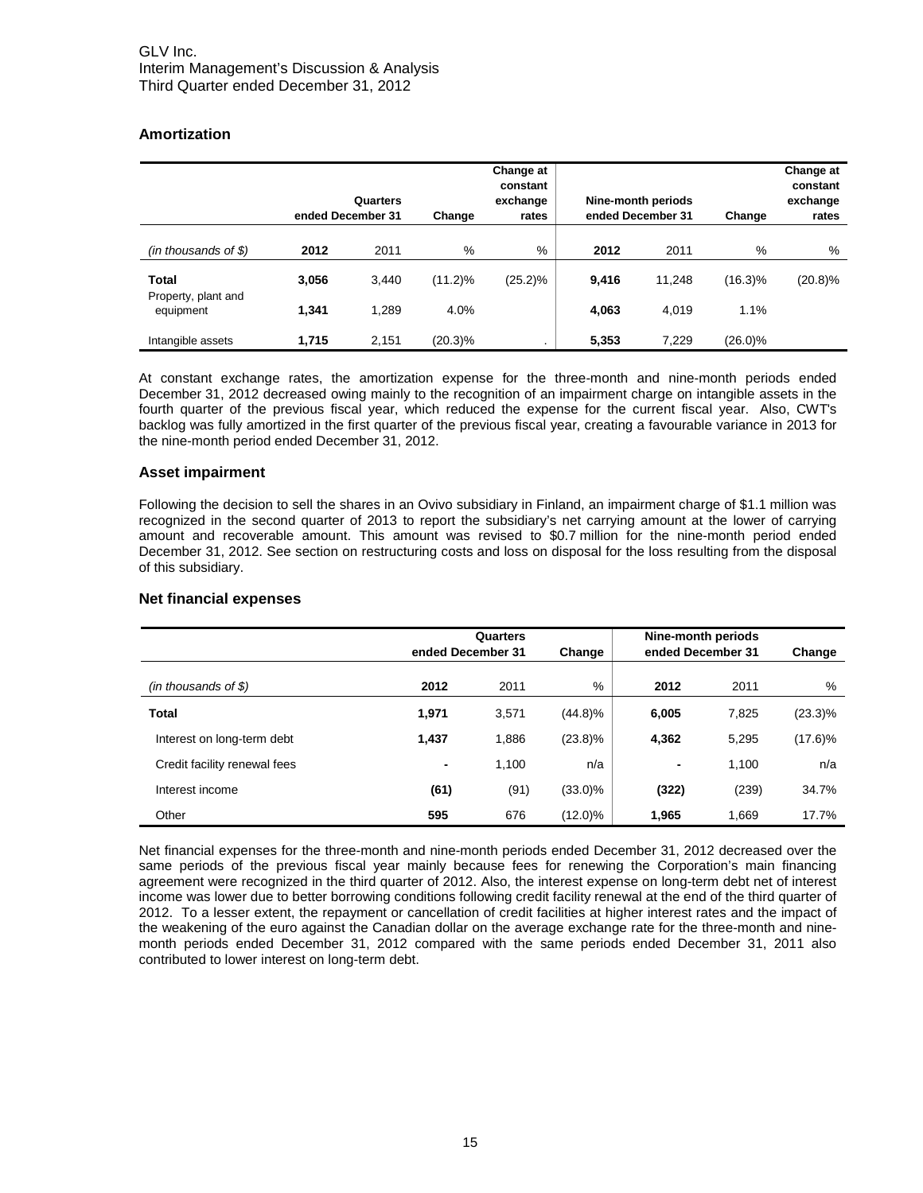## **Amortization**

|                                  | ended December 31 | Quarters | Change     | Change at<br>constant<br>exchange<br>rates |       | Nine-month periods<br>ended December 31 | Change     | Change at<br>constant<br>exchange<br>rates |
|----------------------------------|-------------------|----------|------------|--------------------------------------------|-------|-----------------------------------------|------------|--------------------------------------------|
| $(in$ thousands of \$)           | 2012              | 2011     | %          | %                                          | 2012  | 2011                                    | %          | %                                          |
| <b>Total</b>                     | 3,056             | 3,440    | $(11.2)\%$ | $(25.2)\%$                                 | 9,416 | 11,248                                  | $(16.3)\%$ | $(20.8)\%$                                 |
| Property, plant and<br>equipment | 1.341             | 1.289    | 4.0%       |                                            | 4,063 | 4.019                                   | 1.1%       |                                            |
| Intangible assets                | 1.715             | 2.151    | $(20.3)\%$ | ٠                                          | 5,353 | 7.229                                   | $(26.0)\%$ |                                            |

At constant exchange rates, the amortization expense for the three-month and nine-month periods ended December 31, 2012 decreased owing mainly to the recognition of an impairment charge on intangible assets in the fourth quarter of the previous fiscal year, which reduced the expense for the current fiscal year. Also, CWT's backlog was fully amortized in the first quarter of the previous fiscal year, creating a favourable variance in 2013 for the nine-month period ended December 31, 2012.

#### **Asset impairment**

Following the decision to sell the shares in an Ovivo subsidiary in Finland, an impairment charge of \$1.1 million was recognized in the second quarter of 2013 to report the subsidiary's net carrying amount at the lower of carrying amount and recoverable amount. This amount was revised to \$0.7 million for the nine-month period ended December 31, 2012. See section on restructuring costs and loss on disposal for the loss resulting from the disposal of this subsidiary.

|                              | ended December 31 | Quarters | Change     | Nine-month periods<br>ended December 31 | Change |            |
|------------------------------|-------------------|----------|------------|-----------------------------------------|--------|------------|
| $(in$ thousands of \$)       | 2012              | 2011     | %          | 2012                                    | 2011   | %          |
| Total                        | 1,971             | 3,571    | $(44.8)\%$ | 6,005                                   | 7,825  | $(23.3)\%$ |
| Interest on long-term debt   | 1.437             | 1,886    | $(23.8)\%$ | 4,362                                   | 5,295  | $(17.6)\%$ |
| Credit facility renewal fees | ٠                 | 1,100    | n/a        | ٠                                       | 1,100  | n/a        |
| Interest income              | (61)              | (91)     | $(33.0)\%$ | (322)                                   | (239)  | 34.7%      |
| Other                        | 595               | 676      | (12.0)%    | 1,965                                   | 1.669  | 17.7%      |

#### **Net financial expenses**

Net financial expenses for the three-month and nine-month periods ended December 31, 2012 decreased over the same periods of the previous fiscal year mainly because fees for renewing the Corporation's main financing agreement were recognized in the third quarter of 2012. Also, the interest expense on long-term debt net of interest income was lower due to better borrowing conditions following credit facility renewal at the end of the third quarter of 2012. To a lesser extent, the repayment or cancellation of credit facilities at higher interest rates and the impact of the weakening of the euro against the Canadian dollar on the average exchange rate for the three-month and ninemonth periods ended December 31, 2012 compared with the same periods ended December 31, 2011 also contributed to lower interest on long-term debt.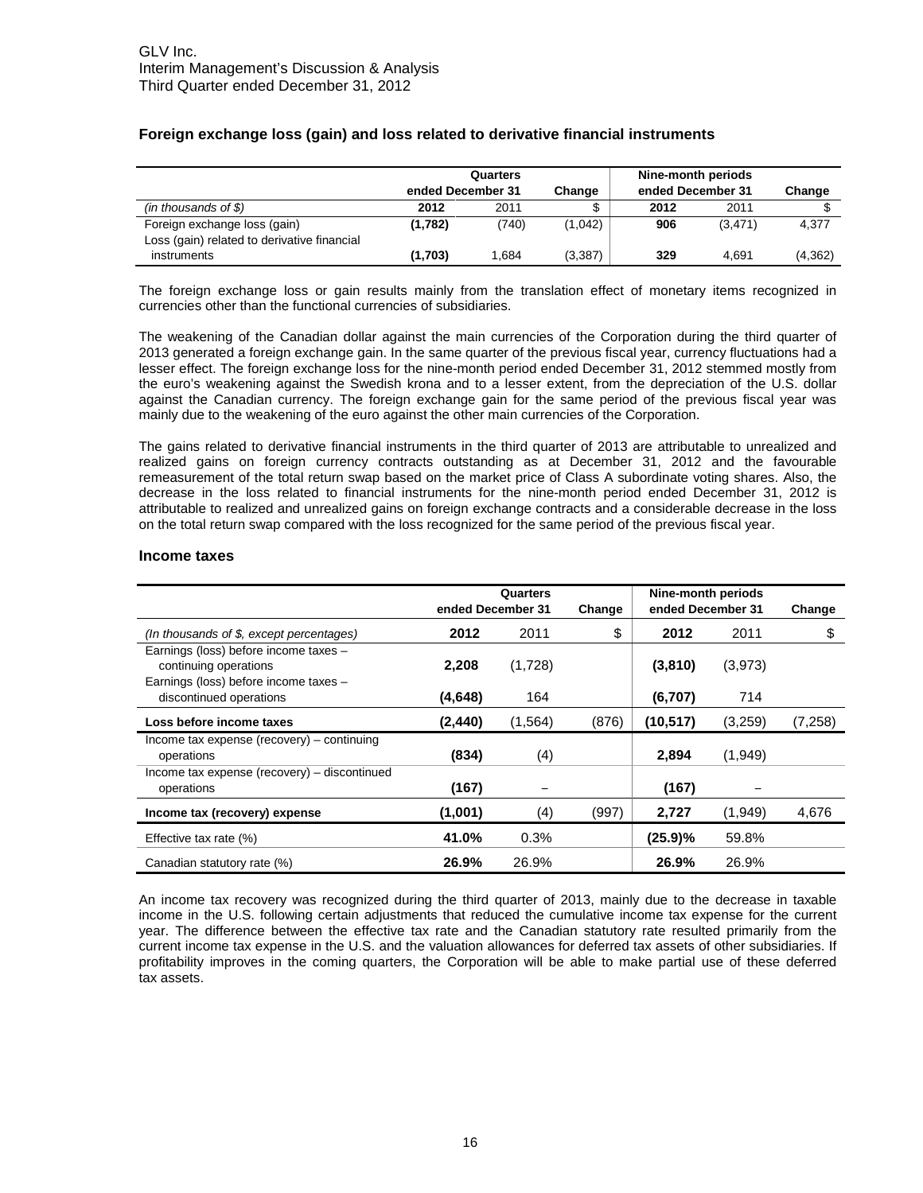|                                             | Quarters          |       |          | Nine-month periods |          |          |
|---------------------------------------------|-------------------|-------|----------|--------------------|----------|----------|
|                                             | ended December 31 |       | Change   | ended December 31  |          | Change   |
| $(in$ thousands of \$)                      | 2012              | 2011  |          | 2012               | 2011     |          |
| Foreign exchange loss (gain)                | (1,782)           | (740) | (1,042)  | 906                | (3, 471) | 4,377    |
| Loss (gain) related to derivative financial |                   |       |          |                    |          |          |
| instruments                                 | (1,703)           | 1.684 | (3, 387) | 329                | 4.691    | (4, 362) |

#### **Foreign exchange loss (gain) and loss related to derivative financial instruments**

The foreign exchange loss or gain results mainly from the translation effect of monetary items recognized in currencies other than the functional currencies of subsidiaries.

The weakening of the Canadian dollar against the main currencies of the Corporation during the third quarter of 2013 generated a foreign exchange gain. In the same quarter of the previous fiscal year, currency fluctuations had a lesser effect. The foreign exchange loss for the nine-month period ended December 31, 2012 stemmed mostly from the euro's weakening against the Swedish krona and to a lesser extent, from the depreciation of the U.S. dollar against the Canadian currency. The foreign exchange gain for the same period of the previous fiscal year was mainly due to the weakening of the euro against the other main currencies of the Corporation.

The gains related to derivative financial instruments in the third quarter of 2013 are attributable to unrealized and realized gains on foreign currency contracts outstanding as at December 31, 2012 and the favourable remeasurement of the total return swap based on the market price of Class A subordinate voting shares. Also, the decrease in the loss related to financial instruments for the nine-month period ended December 31, 2012 is attributable to realized and unrealized gains on foreign exchange contracts and a considerable decrease in the loss on the total return swap compared with the loss recognized for the same period of the previous fiscal year.

#### **Income taxes**

|                                                                                                         | Quarters          |          |        | Nine-month periods |         |          |  |
|---------------------------------------------------------------------------------------------------------|-------------------|----------|--------|--------------------|---------|----------|--|
|                                                                                                         | ended December 31 |          | Change | ended December 31  |         | Change   |  |
| (In thousands of $$$ , except percentages)                                                              | 2012              | 2011     | \$     | 2012               | 2011    |          |  |
| Earnings (loss) before income taxes -<br>continuing operations<br>Earnings (loss) before income taxes - | 2,208             | (1,728)  |        | (3,810)            | (3,973) |          |  |
| discontinued operations                                                                                 | (4,648)           | 164      |        | (6,707)            | 714     |          |  |
| Loss before income taxes                                                                                | (2, 440)          | (1, 564) | (876)  | (10,517)           | (3,259) | (7, 258) |  |
| Income tax expense (recovery) – continuing<br>operations                                                | (834)             | (4)      |        | 2,894              | (1,949) |          |  |
| Income tax expense (recovery) – discontinued<br>operations                                              | (167)             |          |        | (167)              |         |          |  |
| Income tax (recovery) expense                                                                           | (1,001)           | (4)      | (997)  | 2,727              | (1,949) | 4,676    |  |
| Effective tax rate $(\%)$                                                                               | 41.0%             | 0.3%     |        | (25.9)%            | 59.8%   |          |  |
| Canadian statutory rate (%)                                                                             | 26.9%             | 26.9%    |        | 26.9%              | 26.9%   |          |  |

An income tax recovery was recognized during the third quarter of 2013, mainly due to the decrease in taxable income in the U.S. following certain adjustments that reduced the cumulative income tax expense for the current year. The difference between the effective tax rate and the Canadian statutory rate resulted primarily from the current income tax expense in the U.S. and the valuation allowances for deferred tax assets of other subsidiaries. If profitability improves in the coming quarters, the Corporation will be able to make partial use of these deferred tax assets.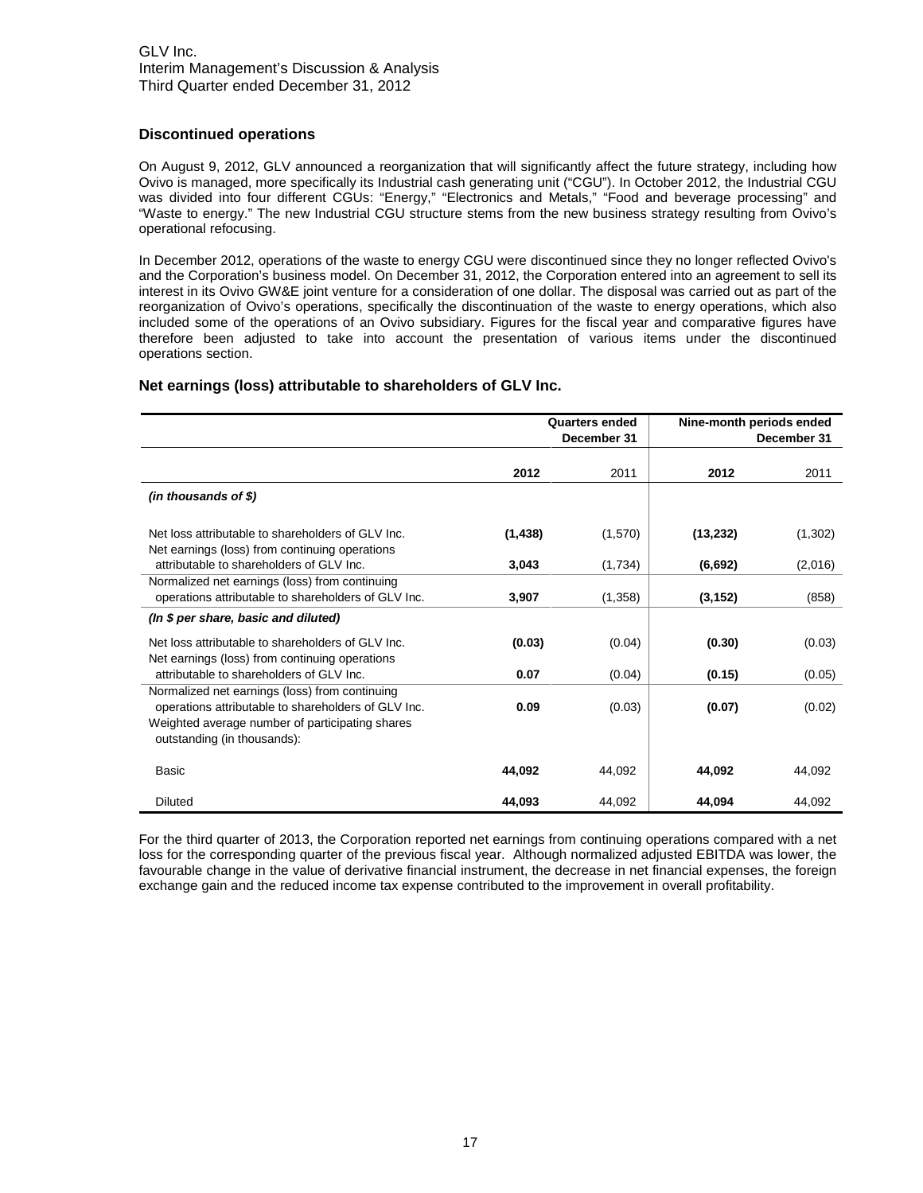#### **Discontinued operations**

On August 9, 2012, GLV announced a reorganization that will significantly affect the future strategy, including how Ovivo is managed, more specifically its Industrial cash generating unit ("CGU"). In October 2012, the Industrial CGU was divided into four different CGUs: "Energy," "Electronics and Metals," "Food and beverage processing" and "Waste to energy." The new Industrial CGU structure stems from the new business strategy resulting from Ovivo's operational refocusing.

In December 2012, operations of the waste to energy CGU were discontinued since they no longer reflected Ovivo's and the Corporation's business model. On December 31, 2012, the Corporation entered into an agreement to sell its interest in its Ovivo GW&E joint venture for a consideration of one dollar. The disposal was carried out as part of the reorganization of Ovivo's operations, specifically the discontinuation of the waste to energy operations, which also included some of the operations of an Ovivo subsidiary. Figures for the fiscal year and comparative figures have therefore been adjusted to take into account the presentation of various items under the discontinued operations section.

#### **Net earnings (loss) attributable to shareholders of GLV Inc.**

|                                                                                                                                                                                         | <b>Quarters ended</b><br>December 31 |         | Nine-month periods ended | December 31 |
|-----------------------------------------------------------------------------------------------------------------------------------------------------------------------------------------|--------------------------------------|---------|--------------------------|-------------|
|                                                                                                                                                                                         | 2012                                 | 2011    | 2012                     | 2011        |
| $(in$ thousands of \$)                                                                                                                                                                  |                                      |         |                          |             |
| Net loss attributable to shareholders of GLV Inc.<br>Net earnings (loss) from continuing operations                                                                                     | (1, 438)                             | (1,570) | (13, 232)                | (1,302)     |
| attributable to shareholders of GLV Inc.                                                                                                                                                | 3,043                                | (1,734) | (6,692)                  | (2,016)     |
| Normalized net earnings (loss) from continuing<br>operations attributable to shareholders of GLV Inc.                                                                                   | 3,907                                | (1,358) | (3, 152)                 | (858)       |
| (In \$ per share, basic and diluted)                                                                                                                                                    |                                      |         |                          |             |
| Net loss attributable to shareholders of GLV Inc.<br>Net earnings (loss) from continuing operations                                                                                     | (0.03)                               | (0.04)  | (0.30)                   | (0.03)      |
| attributable to shareholders of GLV Inc.                                                                                                                                                | 0.07                                 | (0.04)  | (0.15)                   | (0.05)      |
| Normalized net earnings (loss) from continuing<br>operations attributable to shareholders of GLV Inc.<br>Weighted average number of participating shares<br>outstanding (in thousands): | 0.09                                 | (0.03)  | (0.07)                   | (0.02)      |
| <b>Basic</b>                                                                                                                                                                            | 44,092                               | 44,092  | 44,092                   | 44.092      |
| <b>Diluted</b>                                                                                                                                                                          | 44,093                               | 44,092  | 44,094                   | 44.092      |

For the third quarter of 2013, the Corporation reported net earnings from continuing operations compared with a net loss for the corresponding quarter of the previous fiscal year. Although normalized adjusted EBITDA was lower, the favourable change in the value of derivative financial instrument, the decrease in net financial expenses, the foreign exchange gain and the reduced income tax expense contributed to the improvement in overall profitability.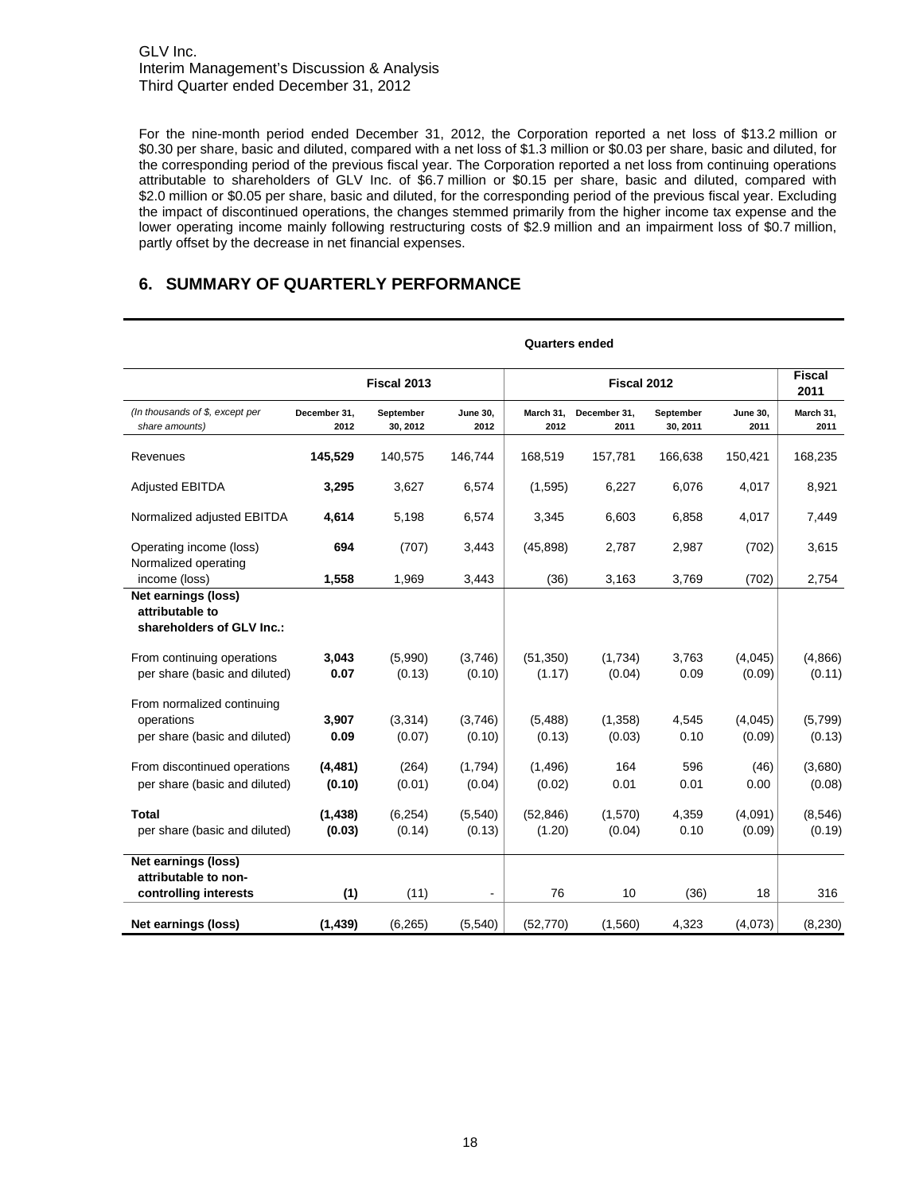For the nine-month period ended December 31, 2012, the Corporation reported a net loss of \$13.2 million or \$0.30 per share, basic and diluted, compared with a net loss of \$1.3 million or \$0.03 per share, basic and diluted, for the corresponding period of the previous fiscal year. The Corporation reported a net loss from continuing operations attributable to shareholders of GLV Inc. of \$6.7 million or \$0.15 per share, basic and diluted, compared with \$2.0 million or \$0.05 per share, basic and diluted, for the corresponding period of the previous fiscal year. Excluding the impact of discontinued operations, the changes stemmed primarily from the higher income tax expense and the lower operating income mainly following restructuring costs of \$2.9 million and an impairment loss of \$0.7 million, partly offset by the decrease in net financial expenses.

## **6. SUMMARY OF QUARTERLY PERFORMANCE**

|                                                                           | <b>Quarters ended</b> |                       |                          |                     |                      |                       |                   |                       |
|---------------------------------------------------------------------------|-----------------------|-----------------------|--------------------------|---------------------|----------------------|-----------------------|-------------------|-----------------------|
|                                                                           | Fiscal 2013           |                       |                          | Fiscal 2012         |                      |                       |                   | <b>Fiscal</b><br>2011 |
| (In thousands of \$, except per<br>share amounts)                         | December 31,<br>2012  | September<br>30, 2012 | <b>June 30,</b><br>2012  | March 31,<br>2012   | December 31,<br>2011 | September<br>30, 2011 | June 30,<br>2011  | March 31,<br>2011     |
| Revenues                                                                  | 145,529               | 140,575               | 146,744                  | 168,519             | 157,781              | 166,638               | 150,421           | 168,235               |
| <b>Adjusted EBITDA</b>                                                    | 3,295                 | 3,627                 | 6,574                    | (1,595)             | 6,227                | 6,076                 | 4,017             | 8,921                 |
| Normalized adjusted EBITDA                                                | 4,614                 | 5,198                 | 6,574                    | 3,345               | 6,603                | 6,858                 | 4,017             | 7,449                 |
| Operating income (loss)<br>Normalized operating                           | 694                   | (707)                 | 3,443                    | (45, 898)           | 2,787                | 2,987                 | (702)             | 3,615                 |
| income (loss)                                                             | 1,558                 | 1,969                 | 3,443                    | (36)                | 3,163                | 3,769                 | (702)             | 2,754                 |
| Net earnings (loss)<br>attributable to<br>shareholders of GLV Inc.:       |                       |                       |                          |                     |                      |                       |                   |                       |
| From continuing operations<br>per share (basic and diluted)               | 3,043<br>0.07         | (5,990)<br>(0.13)     | (3,746)<br>(0.10)        | (51, 350)<br>(1.17) | (1,734)<br>(0.04)    | 3,763<br>0.09         | (4,045)<br>(0.09) | (4,866)<br>(0.11)     |
| From normalized continuing<br>operations<br>per share (basic and diluted) | 3,907<br>0.09         | (3, 314)<br>(0.07)    | (3,746)<br>(0.10)        | (5,488)<br>(0.13)   | (1,358)<br>(0.03)    | 4,545<br>0.10         | (4,045)<br>(0.09) | (5,799)<br>(0.13)     |
| From discontinued operations<br>per share (basic and diluted)             | (4, 481)<br>(0.10)    | (264)<br>(0.01)       | (1,794)<br>(0.04)        | (1, 496)<br>(0.02)  | 164<br>0.01          | 596<br>0.01           | (46)<br>0.00      | (3,680)<br>(0.08)     |
| <b>Total</b><br>per share (basic and diluted)                             | (1, 438)<br>(0.03)    | (6, 254)<br>(0.14)    | (5,540)<br>(0.13)        | (52, 846)<br>(1.20) | (1,570)<br>(0.04)    | 4,359<br>0.10         | (4,091)<br>(0.09) | (8, 546)<br>(0.19)    |
| Net earnings (loss)<br>attributable to non-<br>controlling interests      | (1)                   | (11)                  | $\overline{\phantom{0}}$ | 76                  | 10                   | (36)                  | 18                | 316                   |
| Net earnings (loss)                                                       | (1, 439)              | (6, 265)              | (5,540)                  | (52, 770)           | (1,560)              | 4,323                 | (4,073)           | (8, 230)              |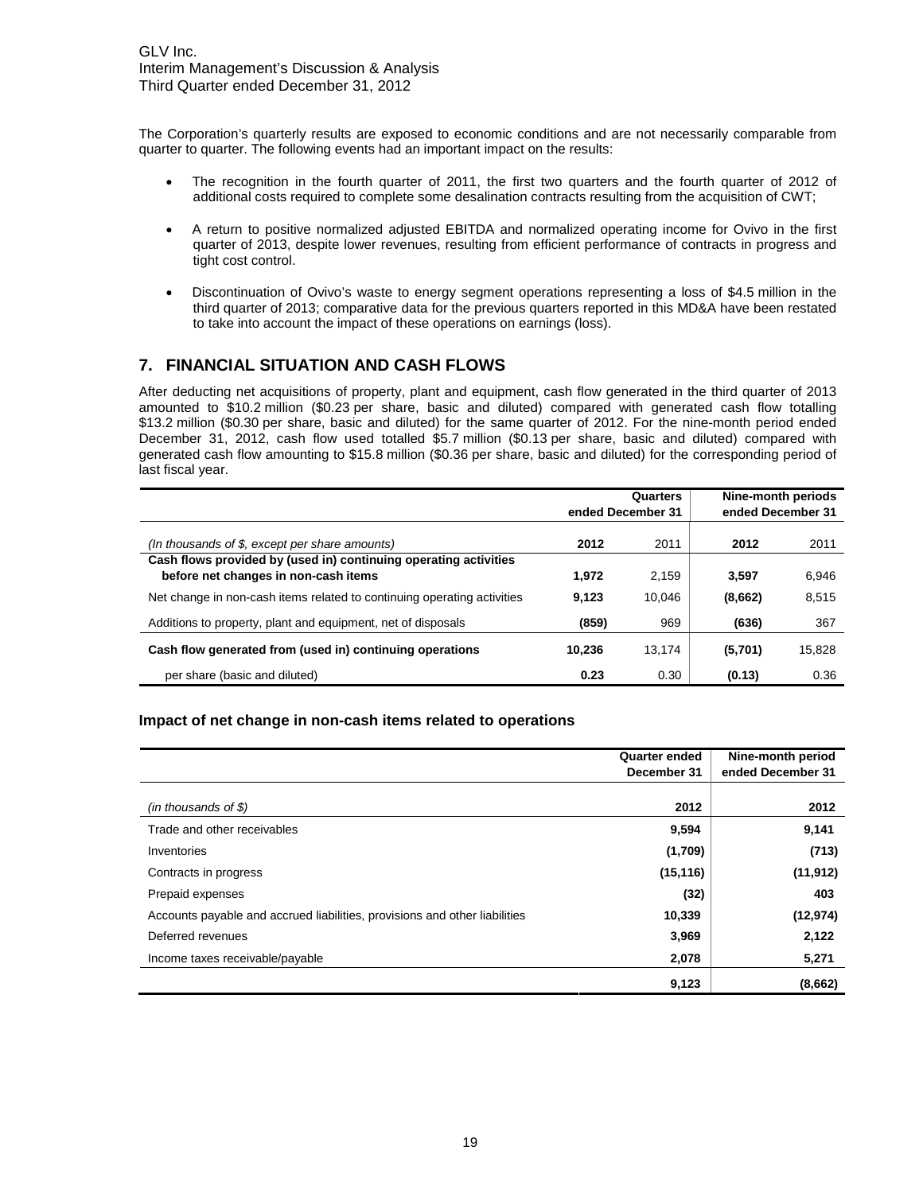The Corporation's quarterly results are exposed to economic conditions and are not necessarily comparable from quarter to quarter. The following events had an important impact on the results:

- The recognition in the fourth quarter of 2011, the first two quarters and the fourth quarter of 2012 of additional costs required to complete some desalination contracts resulting from the acquisition of CWT;
- A return to positive normalized adjusted EBITDA and normalized operating income for Ovivo in the first quarter of 2013, despite lower revenues, resulting from efficient performance of contracts in progress and tight cost control.
- Discontinuation of Ovivo's waste to energy segment operations representing a loss of \$4.5 million in the third quarter of 2013; comparative data for the previous quarters reported in this MD&A have been restated to take into account the impact of these operations on earnings (loss).

## **7. FINANCIAL SITUATION AND CASH FLOWS**

After deducting net acquisitions of property, plant and equipment, cash flow generated in the third quarter of 2013 amounted to \$10.2 million (\$0.23 per share, basic and diluted) compared with generated cash flow totalling \$13.2 million (\$0.30 per share, basic and diluted) for the same quarter of 2012. For the nine-month period ended December 31, 2012, cash flow used totalled \$5.7 million (\$0.13 per share, basic and diluted) compared with generated cash flow amounting to \$15.8 million (\$0.36 per share, basic and diluted) for the corresponding period of last fiscal year.

|                                                                                                          | Quarters<br>ended December 31 |        | Nine-month periods<br>ended December 31 |        |
|----------------------------------------------------------------------------------------------------------|-------------------------------|--------|-----------------------------------------|--------|
| (In thousands of \$, except per share amounts)                                                           | 2012                          | 2011   | 2012                                    | 2011   |
| Cash flows provided by (used in) continuing operating activities<br>before net changes in non-cash items | 1.972                         | 2,159  | 3.597                                   | 6,946  |
| Net change in non-cash items related to continuing operating activities                                  | 9.123                         | 10.046 | (8,662)                                 | 8,515  |
| Additions to property, plant and equipment, net of disposals                                             | (859)                         | 969    | (636)                                   | 367    |
| Cash flow generated from (used in) continuing operations                                                 | 10.236                        | 13.174 | (5,701)                                 | 15.828 |
| per share (basic and diluted)                                                                            | 0.23                          | 0.30   | (0.13)                                  | 0.36   |

#### **Impact of net change in non-cash items related to operations**

|                                                                            | <b>Quarter ended</b><br>December 31 | Nine-month period<br>ended December 31 |
|----------------------------------------------------------------------------|-------------------------------------|----------------------------------------|
|                                                                            |                                     |                                        |
| (in thousands of $$$ )                                                     | 2012                                | 2012                                   |
| Trade and other receivables                                                | 9,594                               | 9,141                                  |
| Inventories                                                                | (1,709)                             | (713)                                  |
| Contracts in progress                                                      | (15, 116)                           | (11, 912)                              |
| Prepaid expenses                                                           | (32)                                | 403                                    |
| Accounts payable and accrued liabilities, provisions and other liabilities | 10,339                              | (12, 974)                              |
| Deferred revenues                                                          | 3,969                               | 2,122                                  |
| Income taxes receivable/payable                                            | 2,078                               | 5,271                                  |
|                                                                            | 9,123                               | (8,662)                                |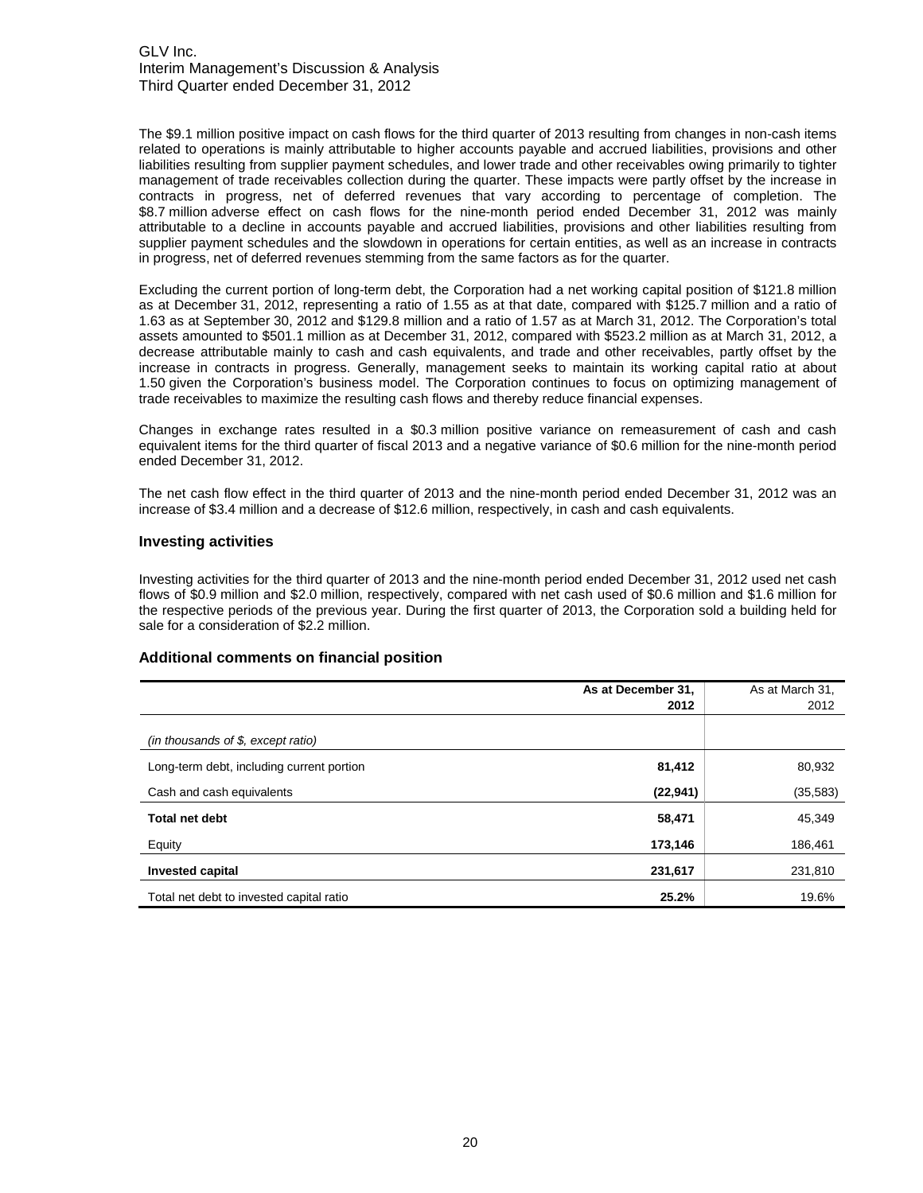The \$9.1 million positive impact on cash flows for the third quarter of 2013 resulting from changes in non-cash items related to operations is mainly attributable to higher accounts payable and accrued liabilities, provisions and other liabilities resulting from supplier payment schedules, and lower trade and other receivables owing primarily to tighter management of trade receivables collection during the quarter. These impacts were partly offset by the increase in contracts in progress, net of deferred revenues that vary according to percentage of completion. The \$8.7 million adverse effect on cash flows for the nine-month period ended December 31, 2012 was mainly attributable to a decline in accounts payable and accrued liabilities, provisions and other liabilities resulting from supplier payment schedules and the slowdown in operations for certain entities, as well as an increase in contracts in progress, net of deferred revenues stemming from the same factors as for the quarter.

Excluding the current portion of long-term debt, the Corporation had a net working capital position of \$121.8 million as at December 31, 2012, representing a ratio of 1.55 as at that date, compared with \$125.7 million and a ratio of 1.63 as at September 30, 2012 and \$129.8 million and a ratio of 1.57 as at March 31, 2012. The Corporation's total assets amounted to \$501.1 million as at December 31, 2012, compared with \$523.2 million as at March 31, 2012, a decrease attributable mainly to cash and cash equivalents, and trade and other receivables, partly offset by the increase in contracts in progress. Generally, management seeks to maintain its working capital ratio at about 1.50 given the Corporation's business model. The Corporation continues to focus on optimizing management of trade receivables to maximize the resulting cash flows and thereby reduce financial expenses.

Changes in exchange rates resulted in a \$0.3 million positive variance on remeasurement of cash and cash equivalent items for the third quarter of fiscal 2013 and a negative variance of \$0.6 million for the nine-month period ended December 31, 2012.

The net cash flow effect in the third quarter of 2013 and the nine-month period ended December 31, 2012 was an increase of \$3.4 million and a decrease of \$12.6 million, respectively, in cash and cash equivalents.

#### **Investing activities**

Investing activities for the third quarter of 2013 and the nine-month period ended December 31, 2012 used net cash flows of \$0.9 million and \$2.0 million, respectively, compared with net cash used of \$0.6 million and \$1.6 million for the respective periods of the previous year. During the first quarter of 2013, the Corporation sold a building held for sale for a consideration of \$2.2 million.

#### **Additional comments on financial position**

|                                           | As at December 31, | As at March 31, |
|-------------------------------------------|--------------------|-----------------|
|                                           | 2012               | 2012            |
|                                           |                    |                 |
| (in thousands of \$, except ratio)        |                    |                 |
| Long-term debt, including current portion | 81,412             | 80,932          |
| Cash and cash equivalents                 | (22, 941)          | (35, 583)       |
| <b>Total net debt</b>                     | 58,471             | 45,349          |
| Equity                                    | 173,146            | 186,461         |
| <b>Invested capital</b>                   | 231,617            | 231,810         |
| Total net debt to invested capital ratio  | 25.2%              | 19.6%           |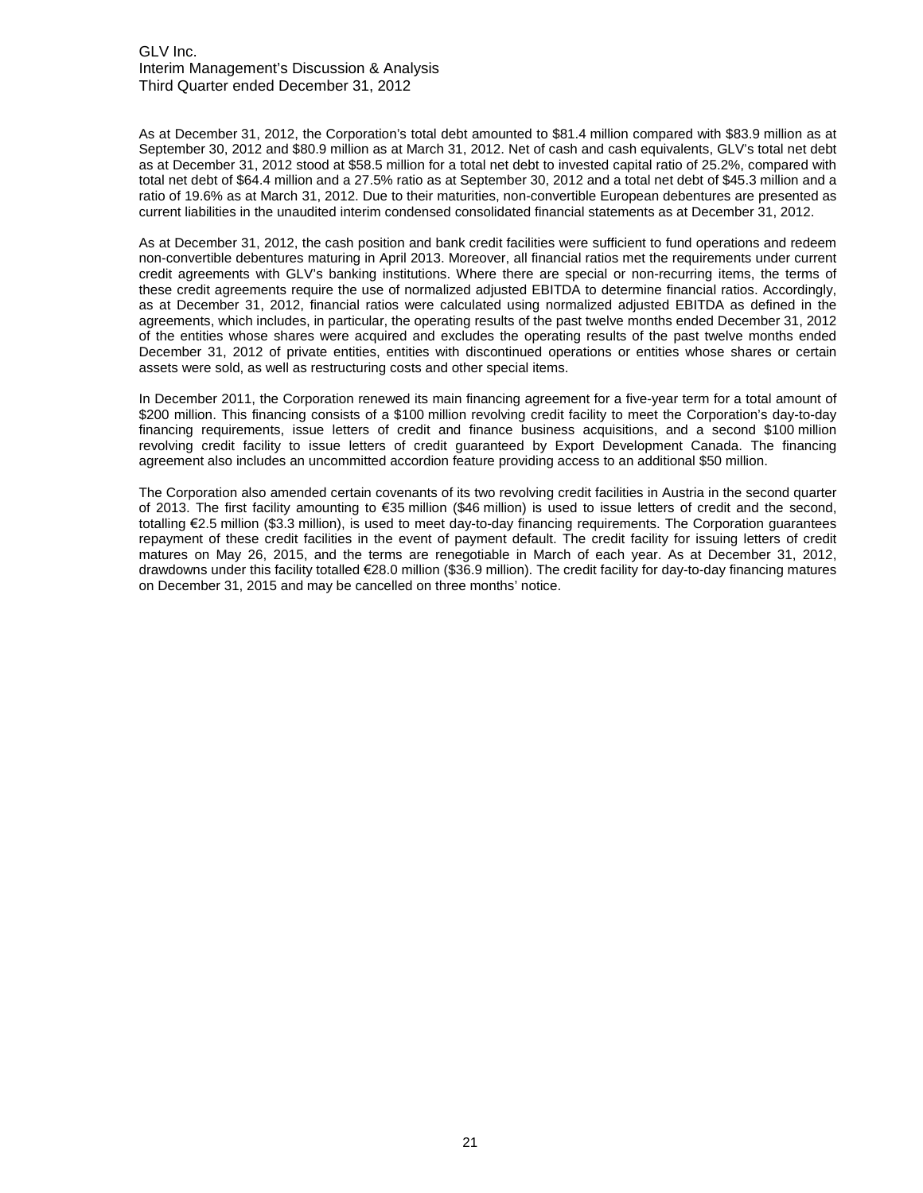As at December 31, 2012, the Corporation's total debt amounted to \$81.4 million compared with \$83.9 million as at September 30, 2012 and \$80.9 million as at March 31, 2012. Net of cash and cash equivalents, GLV's total net debt as at December 31, 2012 stood at \$58.5 million for a total net debt to invested capital ratio of 25.2%, compared with total net debt of \$64.4 million and a 27.5% ratio as at September 30, 2012 and a total net debt of \$45.3 million and a ratio of 19.6% as at March 31, 2012. Due to their maturities, non-convertible European debentures are presented as current liabilities in the unaudited interim condensed consolidated financial statements as at December 31, 2012.

As at December 31, 2012, the cash position and bank credit facilities were sufficient to fund operations and redeem non-convertible debentures maturing in April 2013. Moreover, all financial ratios met the requirements under current credit agreements with GLV's banking institutions. Where there are special or non-recurring items, the terms of these credit agreements require the use of normalized adjusted EBITDA to determine financial ratios. Accordingly, as at December 31, 2012, financial ratios were calculated using normalized adjusted EBITDA as defined in the agreements, which includes, in particular, the operating results of the past twelve months ended December 31, 2012 of the entities whose shares were acquired and excludes the operating results of the past twelve months ended December 31, 2012 of private entities, entities with discontinued operations or entities whose shares or certain assets were sold, as well as restructuring costs and other special items.

In December 2011, the Corporation renewed its main financing agreement for a five-year term for a total amount of \$200 million. This financing consists of a \$100 million revolving credit facility to meet the Corporation's day-to-day financing requirements, issue letters of credit and finance business acquisitions, and a second \$100 million revolving credit facility to issue letters of credit guaranteed by Export Development Canada. The financing agreement also includes an uncommitted accordion feature providing access to an additional \$50 million.

The Corporation also amended certain covenants of its two revolving credit facilities in Austria in the second quarter of 2013. The first facility amounting to €35 million (\$46 million) is used to issue letters of credit and the second, totalling €2.5 million (\$3.3 million), is used to meet day-to-day financing requirements. The Corporation guarantees repayment of these credit facilities in the event of payment default. The credit facility for issuing letters of credit matures on May 26, 2015, and the terms are renegotiable in March of each year. As at December 31, 2012, drawdowns under this facility totalled €28.0 million (\$36.9 million). The credit facility for day-to-day financing matures on December 31, 2015 and may be cancelled on three months' notice.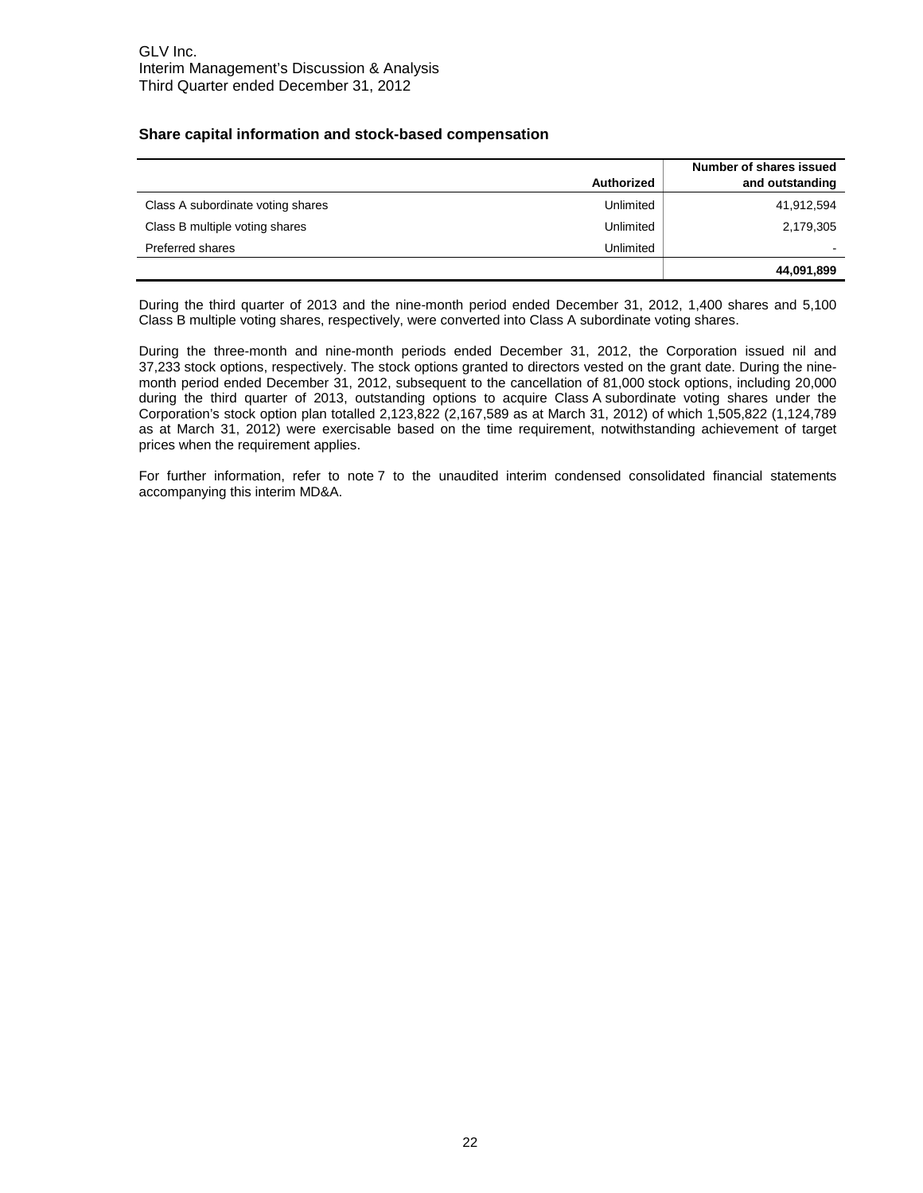#### **Share capital information and stock-based compensation**

|                                   | <b>Authorized</b> | Number of shares issued<br>and outstanding |
|-----------------------------------|-------------------|--------------------------------------------|
| Class A subordinate voting shares | Unlimited         | 41,912,594                                 |
| Class B multiple voting shares    | Unlimited         | 2,179,305                                  |
| Preferred shares                  | Unlimited         |                                            |
|                                   |                   | 44,091,899                                 |

During the third quarter of 2013 and the nine-month period ended December 31, 2012, 1,400 shares and 5,100 Class B multiple voting shares, respectively, were converted into Class A subordinate voting shares.

During the three-month and nine-month periods ended December 31, 2012, the Corporation issued nil and 37,233 stock options, respectively. The stock options granted to directors vested on the grant date. During the ninemonth period ended December 31, 2012, subsequent to the cancellation of 81,000 stock options, including 20,000 during the third quarter of 2013, outstanding options to acquire Class A subordinate voting shares under the Corporation's stock option plan totalled 2,123,822 (2,167,589 as at March 31, 2012) of which 1,505,822 (1,124,789 as at March 31, 2012) were exercisable based on the time requirement, notwithstanding achievement of target prices when the requirement applies.

For further information, refer to note 7 to the unaudited interim condensed consolidated financial statements accompanying this interim MD&A.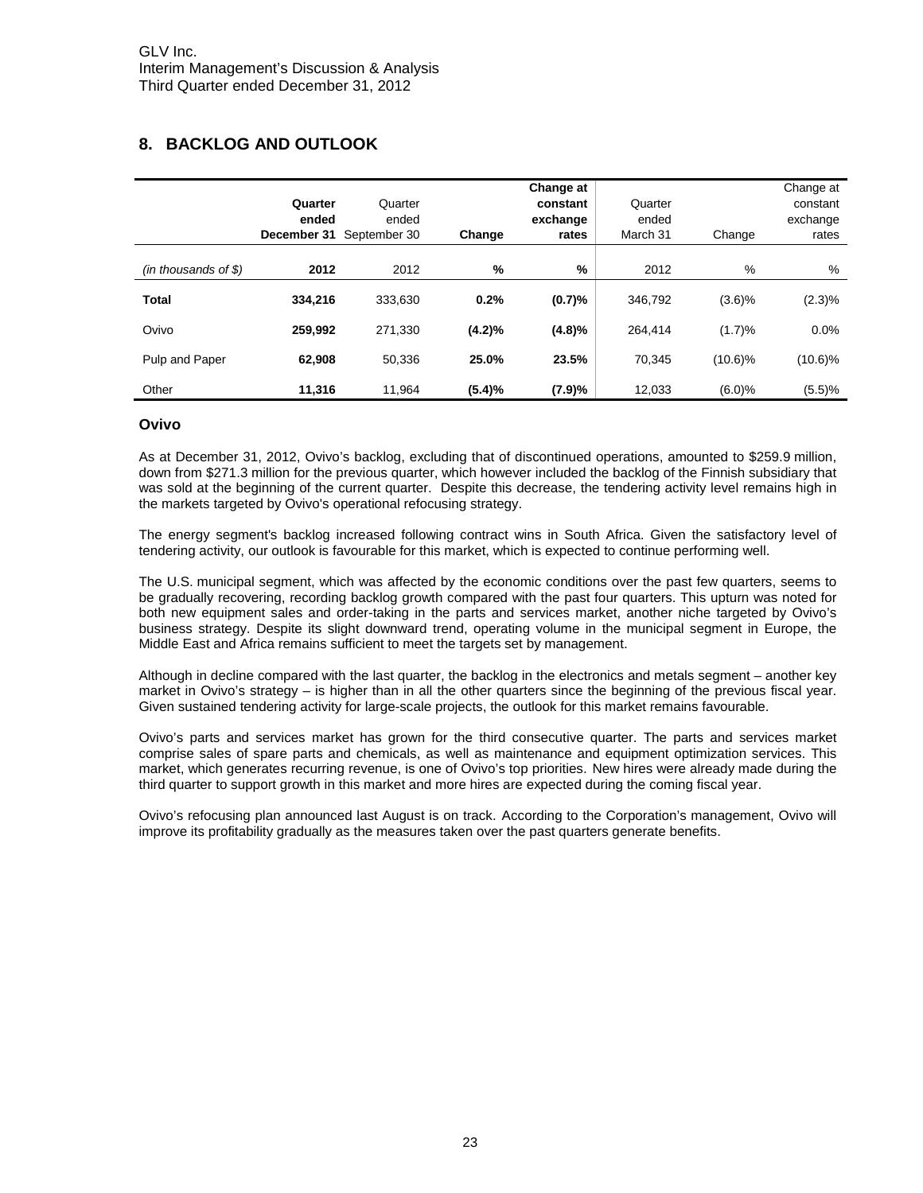## **8. BACKLOG AND OUTLOOK**

|                        | Quarter<br>ended<br>December 31 | Quarter<br>ended<br>September 30 | Change        | Change at<br>constant<br>exchange<br>rates | Quarter<br>ended<br>March 31 | Change     | Change at<br>constant<br>exchange<br>rates |
|------------------------|---------------------------------|----------------------------------|---------------|--------------------------------------------|------------------------------|------------|--------------------------------------------|
| $(in$ thousands of \$) | 2012                            | 2012                             | $\frac{9}{6}$ | %                                          | 2012                         | %          | %                                          |
| <b>Total</b>           | 334.216                         | 333.630                          | 0.2%          | (0.7)%                                     | 346.792                      | (3.6)%     | $(2.3)\%$                                  |
| Ovivo                  | 259.992                         | 271.330                          | (4.2)%        | (4.8)%                                     | 264.414                      | (1.7)%     | 0.0%                                       |
| Pulp and Paper         | 62.908                          | 50.336                           | 25.0%         | 23.5%                                      | 70.345                       | $(10.6)\%$ | $(10.6)\%$                                 |
| Other                  | 11,316                          | 11.964                           | (5.4)%        | (7.9)%                                     | 12.033                       | (6.0)%     | (5.5)%                                     |

#### **Ovivo**

As at December 31, 2012, Ovivo's backlog, excluding that of discontinued operations, amounted to \$259.9 million, down from \$271.3 million for the previous quarter, which however included the backlog of the Finnish subsidiary that was sold at the beginning of the current quarter. Despite this decrease, the tendering activity level remains high in the markets targeted by Ovivo's operational refocusing strategy.

The energy segment's backlog increased following contract wins in South Africa. Given the satisfactory level of tendering activity, our outlook is favourable for this market, which is expected to continue performing well.

The U.S. municipal segment, which was affected by the economic conditions over the past few quarters, seems to be gradually recovering, recording backlog growth compared with the past four quarters. This upturn was noted for both new equipment sales and order-taking in the parts and services market, another niche targeted by Ovivo's business strategy. Despite its slight downward trend, operating volume in the municipal segment in Europe, the Middle East and Africa remains sufficient to meet the targets set by management.

Although in decline compared with the last quarter, the backlog in the electronics and metals segment – another key market in Ovivo's strategy – is higher than in all the other quarters since the beginning of the previous fiscal year. Given sustained tendering activity for large-scale projects, the outlook for this market remains favourable.

Ovivo's parts and services market has grown for the third consecutive quarter. The parts and services market comprise sales of spare parts and chemicals, as well as maintenance and equipment optimization services. This market, which generates recurring revenue, is one of Ovivo's top priorities. New hires were already made during the third quarter to support growth in this market and more hires are expected during the coming fiscal year.

Ovivo's refocusing plan announced last August is on track. According to the Corporation's management, Ovivo will improve its profitability gradually as the measures taken over the past quarters generate benefits.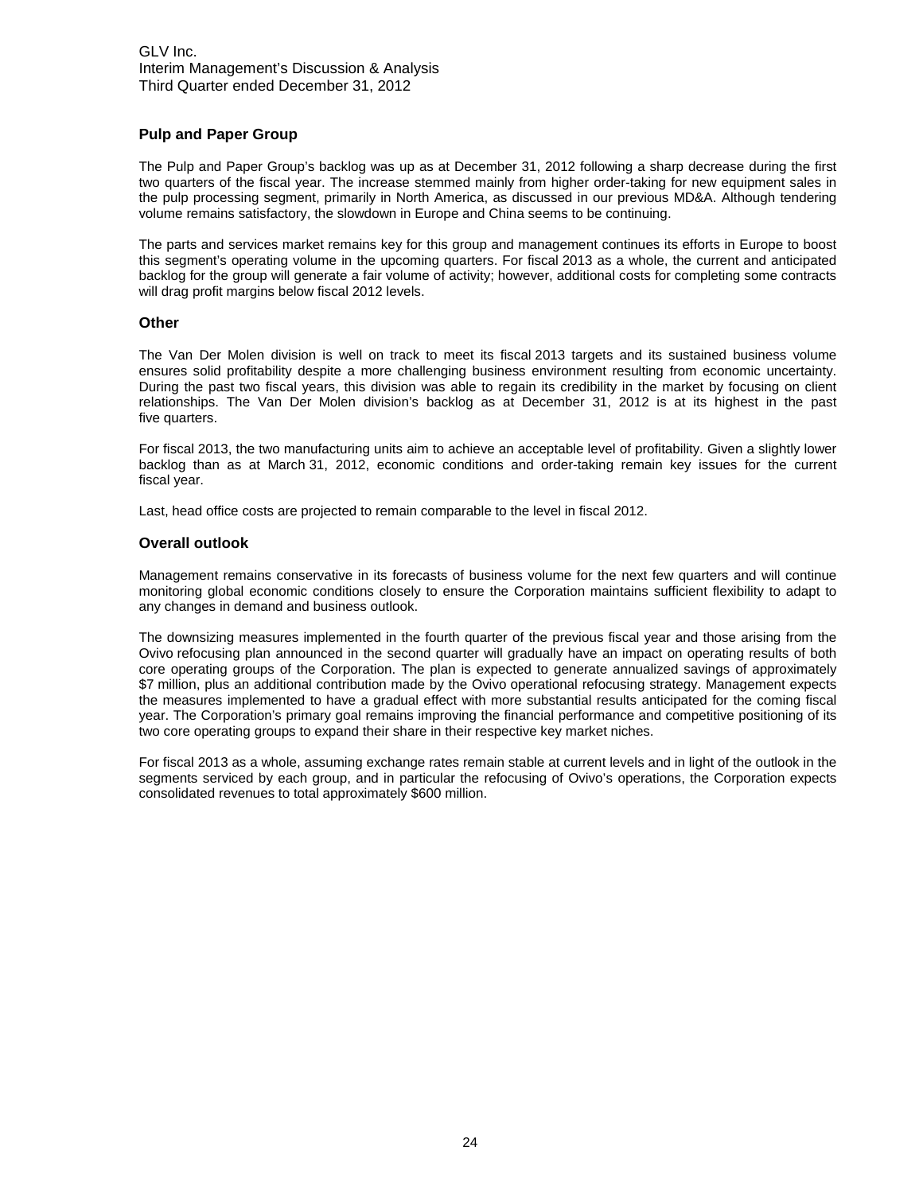#### **Pulp and Paper Group**

The Pulp and Paper Group's backlog was up as at December 31, 2012 following a sharp decrease during the first two quarters of the fiscal year. The increase stemmed mainly from higher order-taking for new equipment sales in the pulp processing segment, primarily in North America, as discussed in our previous MD&A. Although tendering volume remains satisfactory, the slowdown in Europe and China seems to be continuing.

The parts and services market remains key for this group and management continues its efforts in Europe to boost this segment's operating volume in the upcoming quarters. For fiscal 2013 as a whole, the current and anticipated backlog for the group will generate a fair volume of activity; however, additional costs for completing some contracts will drag profit margins below fiscal 2012 levels.

#### **Other**

The Van Der Molen division is well on track to meet its fiscal 2013 targets and its sustained business volume ensures solid profitability despite a more challenging business environment resulting from economic uncertainty. During the past two fiscal years, this division was able to regain its credibility in the market by focusing on client relationships. The Van Der Molen division's backlog as at December 31, 2012 is at its highest in the past five quarters.

For fiscal 2013, the two manufacturing units aim to achieve an acceptable level of profitability. Given a slightly lower backlog than as at March 31, 2012, economic conditions and order-taking remain key issues for the current fiscal year.

Last, head office costs are projected to remain comparable to the level in fiscal 2012.

#### **Overall outlook**

Management remains conservative in its forecasts of business volume for the next few quarters and will continue monitoring global economic conditions closely to ensure the Corporation maintains sufficient flexibility to adapt to any changes in demand and business outlook.

The downsizing measures implemented in the fourth quarter of the previous fiscal year and those arising from the Ovivo refocusing plan announced in the second quarter will gradually have an impact on operating results of both core operating groups of the Corporation. The plan is expected to generate annualized savings of approximately \$7 million, plus an additional contribution made by the Ovivo operational refocusing strategy. Management expects the measures implemented to have a gradual effect with more substantial results anticipated for the coming fiscal year. The Corporation's primary goal remains improving the financial performance and competitive positioning of its two core operating groups to expand their share in their respective key market niches.

For fiscal 2013 as a whole, assuming exchange rates remain stable at current levels and in light of the outlook in the segments serviced by each group, and in particular the refocusing of Ovivo's operations, the Corporation expects consolidated revenues to total approximately \$600 million.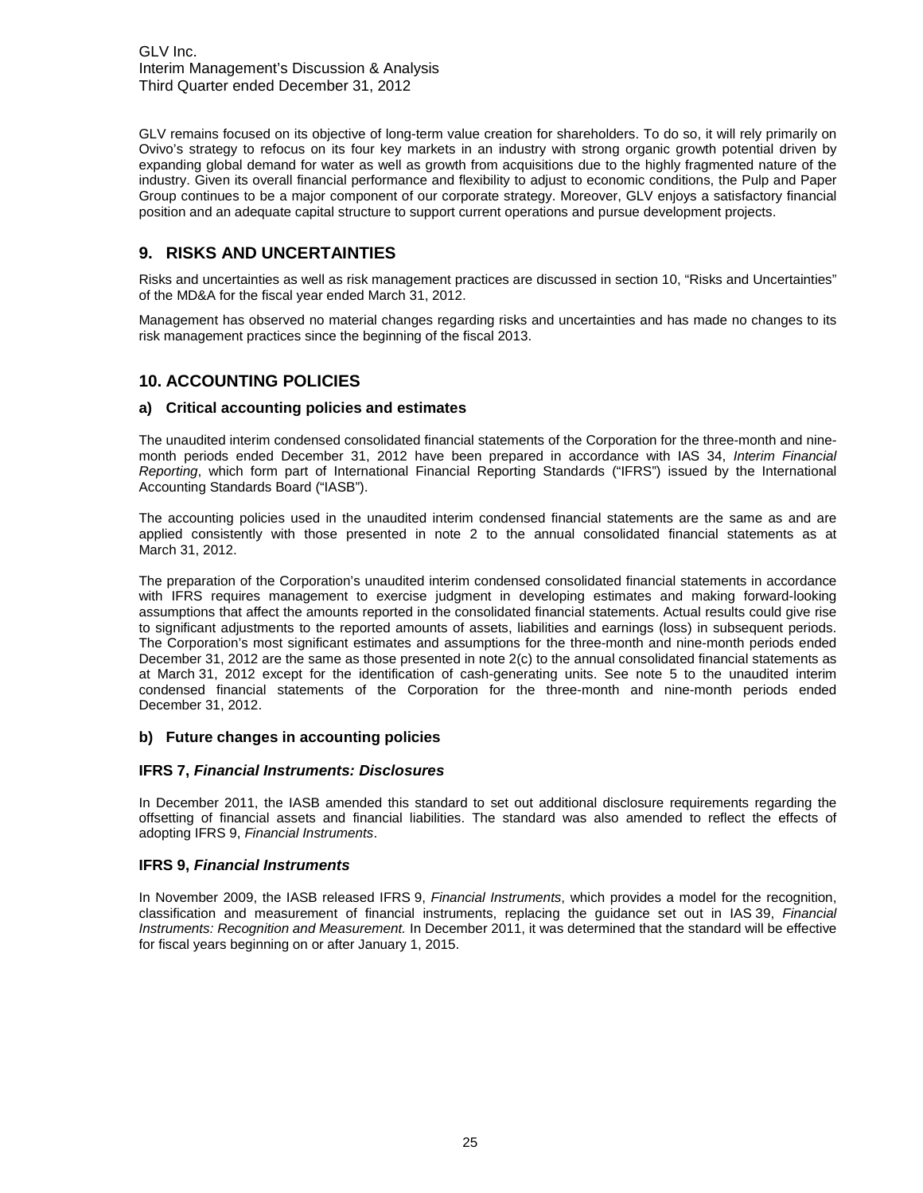GLV remains focused on its objective of long-term value creation for shareholders. To do so, it will rely primarily on Ovivo's strategy to refocus on its four key markets in an industry with strong organic growth potential driven by expanding global demand for water as well as growth from acquisitions due to the highly fragmented nature of the industry. Given its overall financial performance and flexibility to adjust to economic conditions, the Pulp and Paper Group continues to be a major component of our corporate strategy. Moreover, GLV enjoys a satisfactory financial position and an adequate capital structure to support current operations and pursue development projects.

## **9. RISKS AND UNCERTAINTIES**

Risks and uncertainties as well as risk management practices are discussed in section 10, "Risks and Uncertainties" of the MD&A for the fiscal year ended March 31, 2012.

Management has observed no material changes regarding risks and uncertainties and has made no changes to its risk management practices since the beginning of the fiscal 2013.

## **10. ACCOUNTING POLICIES**

#### **a) Critical accounting policies and estimates**

The unaudited interim condensed consolidated financial statements of the Corporation for the three-month and ninemonth periods ended December 31, 2012 have been prepared in accordance with IAS 34, *Interim Financial Reporting*, which form part of International Financial Reporting Standards ("IFRS") issued by the International Accounting Standards Board ("IASB").

The accounting policies used in the unaudited interim condensed financial statements are the same as and are applied consistently with those presented in note 2 to the annual consolidated financial statements as at March 31, 2012.

The preparation of the Corporation's unaudited interim condensed consolidated financial statements in accordance with IFRS requires management to exercise judgment in developing estimates and making forward-looking assumptions that affect the amounts reported in the consolidated financial statements. Actual results could give rise to significant adjustments to the reported amounts of assets, liabilities and earnings (loss) in subsequent periods. The Corporation's most significant estimates and assumptions for the three-month and nine-month periods ended December 31, 2012 are the same as those presented in note 2(c) to the annual consolidated financial statements as at March 31, 2012 except for the identification of cash-generating units. See note 5 to the unaudited interim condensed financial statements of the Corporation for the three-month and nine-month periods ended December 31, 2012.

#### **b) Future changes in accounting policies**

#### **IFRS 7,** *Financial Instruments: Disclosures*

In December 2011, the IASB amended this standard to set out additional disclosure requirements regarding the offsetting of financial assets and financial liabilities. The standard was also amended to reflect the effects of adopting IFRS 9, *Financial Instruments*.

#### **IFRS 9,** *Financial Instruments*

In November 2009, the IASB released IFRS 9, *Financial Instruments*, which provides a model for the recognition, classification and measurement of financial instruments, replacing the guidance set out in IAS 39, *Financial Instruments: Recognition and Measurement.* In December 2011, it was determined that the standard will be effective for fiscal years beginning on or after January 1, 2015.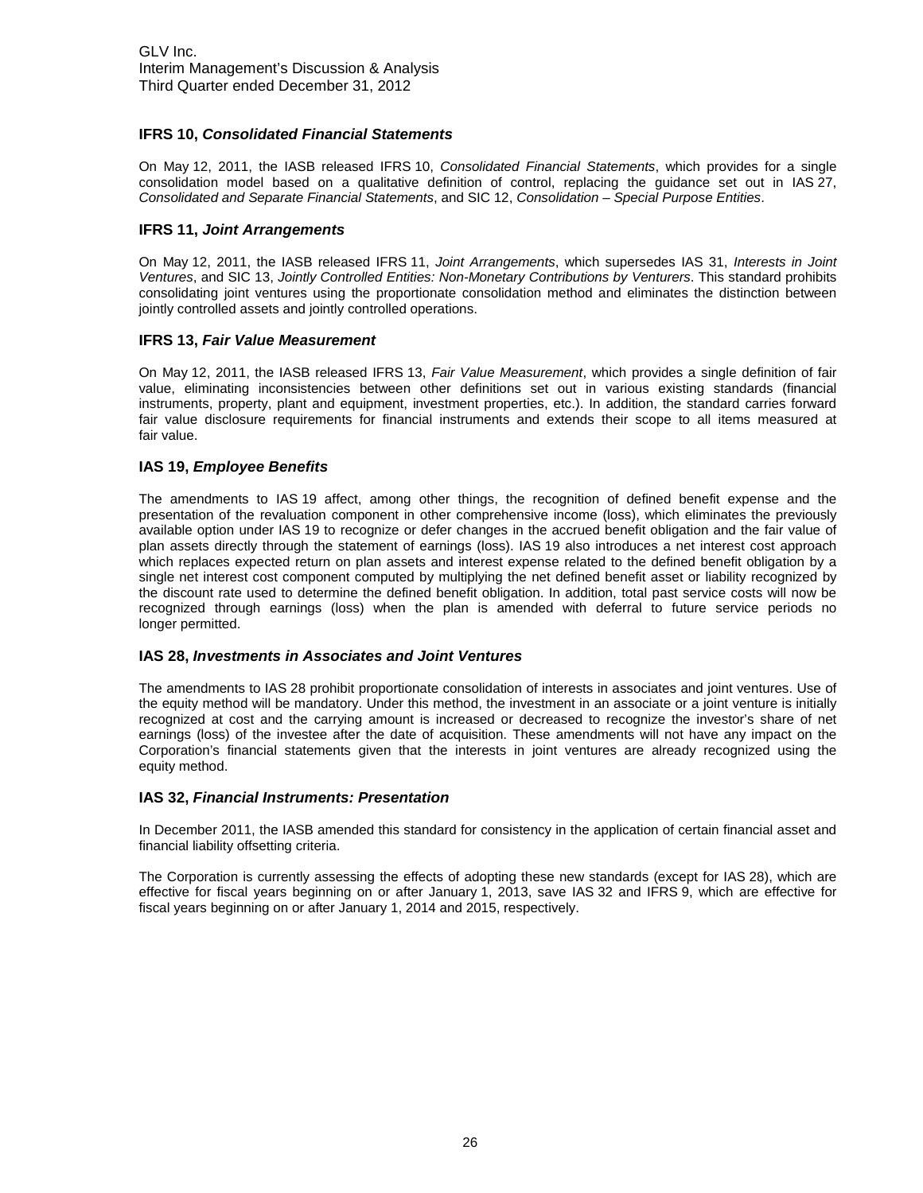#### **IFRS 10,** *Consolidated Financial Statements*

On May 12, 2011, the IASB released IFRS 10, *Consolidated Financial Statements*, which provides for a single consolidation model based on a qualitative definition of control, replacing the guidance set out in IAS 27, *Consolidated and Separate Financial Statements*, and SIC 12, *Consolidation – Special Purpose Entities*.

#### **IFRS 11,** *Joint Arrangements*

On May 12, 2011, the IASB released IFRS 11, *Joint Arrangements*, which supersedes IAS 31, *Interests in Joint Ventures*, and SIC 13, *Jointly Controlled Entities: Non-Monetary Contributions by Venturers*. This standard prohibits consolidating joint ventures using the proportionate consolidation method and eliminates the distinction between jointly controlled assets and jointly controlled operations.

#### **IFRS 13,** *Fair Value Measurement*

On May 12, 2011, the IASB released IFRS 13, *Fair Value Measurement*, which provides a single definition of fair value, eliminating inconsistencies between other definitions set out in various existing standards (financial instruments, property, plant and equipment, investment properties, etc.). In addition, the standard carries forward fair value disclosure requirements for financial instruments and extends their scope to all items measured at fair value.

#### **IAS 19,** *Employee Benefits*

The amendments to IAS 19 affect, among other things, the recognition of defined benefit expense and the presentation of the revaluation component in other comprehensive income (loss), which eliminates the previously available option under IAS 19 to recognize or defer changes in the accrued benefit obligation and the fair value of plan assets directly through the statement of earnings (loss). IAS 19 also introduces a net interest cost approach which replaces expected return on plan assets and interest expense related to the defined benefit obligation by a single net interest cost component computed by multiplying the net defined benefit asset or liability recognized by the discount rate used to determine the defined benefit obligation. In addition, total past service costs will now be recognized through earnings (loss) when the plan is amended with deferral to future service periods no longer permitted.

#### **IAS 28,** *Investments in Associates and Joint Ventures*

The amendments to IAS 28 prohibit proportionate consolidation of interests in associates and joint ventures. Use of the equity method will be mandatory. Under this method, the investment in an associate or a joint venture is initially recognized at cost and the carrying amount is increased or decreased to recognize the investor's share of net earnings (loss) of the investee after the date of acquisition. These amendments will not have any impact on the Corporation's financial statements given that the interests in joint ventures are already recognized using the equity method.

#### **IAS 32,** *Financial Instruments: Presentation*

In December 2011, the IASB amended this standard for consistency in the application of certain financial asset and financial liability offsetting criteria.

The Corporation is currently assessing the effects of adopting these new standards (except for IAS 28), which are effective for fiscal years beginning on or after January 1, 2013, save IAS 32 and IFRS 9, which are effective for fiscal years beginning on or after January 1, 2014 and 2015, respectively.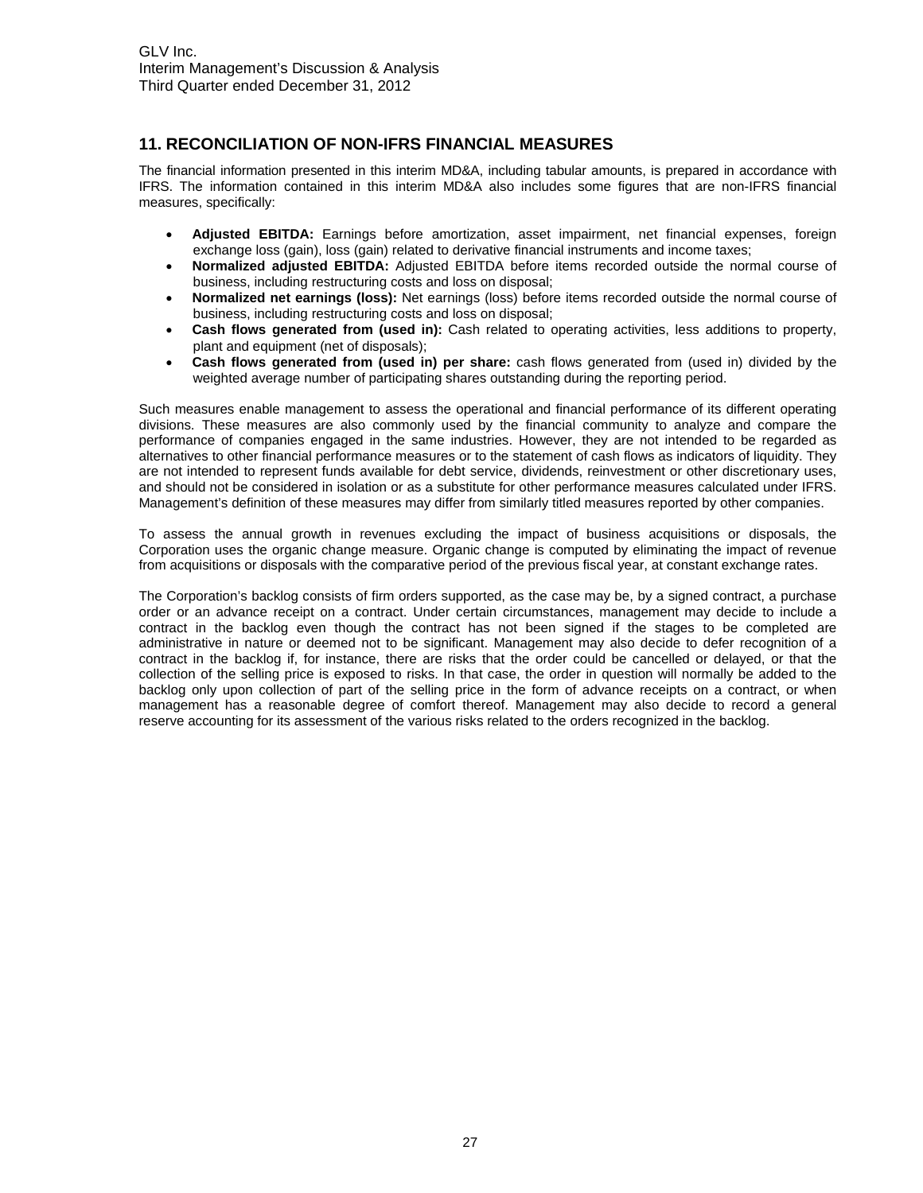## **11. RECONCILIATION OF NON-IFRS FINANCIAL MEASURES**

The financial information presented in this interim MD&A, including tabular amounts, is prepared in accordance with IFRS. The information contained in this interim MD&A also includes some figures that are non-IFRS financial measures, specifically:

- **Adjusted EBITDA:** Earnings before amortization, asset impairment, net financial expenses, foreign exchange loss (gain), loss (gain) related to derivative financial instruments and income taxes;
- **Normalized adjusted EBITDA:** Adjusted EBITDA before items recorded outside the normal course of business, including restructuring costs and loss on disposal;
- **Normalized net earnings (loss):** Net earnings (loss) before items recorded outside the normal course of business, including restructuring costs and loss on disposal;
- **Cash flows generated from (used in):** Cash related to operating activities, less additions to property, plant and equipment (net of disposals);
- **Cash flows generated from (used in) per share:** cash flows generated from (used in) divided by the weighted average number of participating shares outstanding during the reporting period.

Such measures enable management to assess the operational and financial performance of its different operating divisions. These measures are also commonly used by the financial community to analyze and compare the performance of companies engaged in the same industries. However, they are not intended to be regarded as alternatives to other financial performance measures or to the statement of cash flows as indicators of liquidity. They are not intended to represent funds available for debt service, dividends, reinvestment or other discretionary uses, and should not be considered in isolation or as a substitute for other performance measures calculated under IFRS. Management's definition of these measures may differ from similarly titled measures reported by other companies.

To assess the annual growth in revenues excluding the impact of business acquisitions or disposals, the Corporation uses the organic change measure. Organic change is computed by eliminating the impact of revenue from acquisitions or disposals with the comparative period of the previous fiscal year, at constant exchange rates.

The Corporation's backlog consists of firm orders supported, as the case may be, by a signed contract, a purchase order or an advance receipt on a contract. Under certain circumstances, management may decide to include a contract in the backlog even though the contract has not been signed if the stages to be completed are administrative in nature or deemed not to be significant. Management may also decide to defer recognition of a contract in the backlog if, for instance, there are risks that the order could be cancelled or delayed, or that the collection of the selling price is exposed to risks. In that case, the order in question will normally be added to the backlog only upon collection of part of the selling price in the form of advance receipts on a contract, or when management has a reasonable degree of comfort thereof. Management may also decide to record a general reserve accounting for its assessment of the various risks related to the orders recognized in the backlog.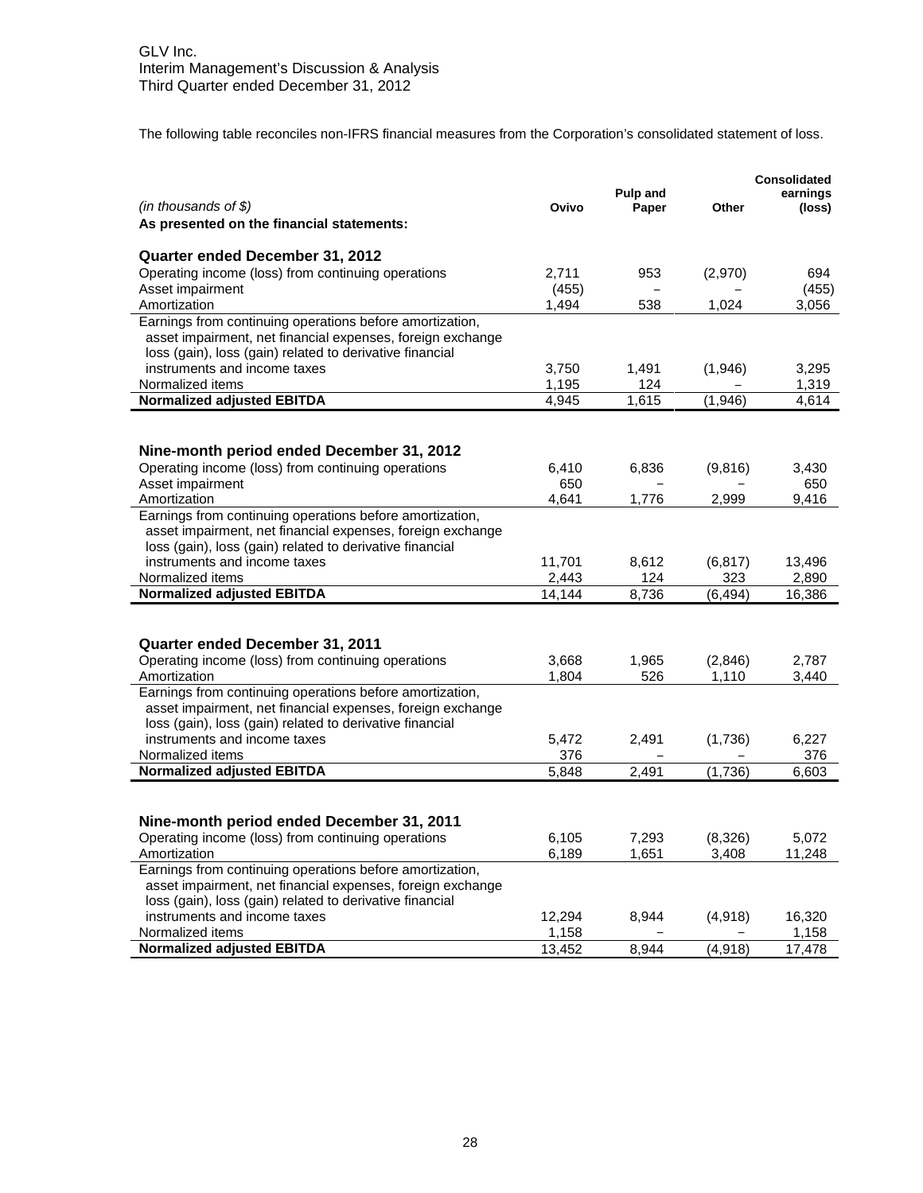The following table reconciles non-IFRS financial measures from the Corporation's consolidated statement of loss.

| $(in$ thousands of \$)<br>Ovivo<br>Paper<br>Other<br>(loss)<br>As presented on the financial statements:<br>Quarter ended December 31, 2012<br>Operating income (loss) from continuing operations<br>2.711<br>694<br>953<br>(2,970)<br>Asset impairment<br>(455)<br>(455)<br>Amortization<br>1.494<br>538<br>3,056<br>1,024<br>Earnings from continuing operations before amortization,<br>asset impairment, net financial expenses, foreign exchange<br>loss (gain), loss (gain) related to derivative financial<br>instruments and income taxes<br>3,750<br>1,491<br>(1,946)<br>3,295<br>Normalized items<br>1,195<br>1,319<br>124<br><b>Normalized adjusted EBITDA</b><br>(1,946)<br>4,945<br>1,615<br>4,614<br>Nine-month period ended December 31, 2012<br>Operating income (loss) from continuing operations<br>6,410<br>6,836<br>(9,816)<br>3,430<br>Asset impairment<br>650<br>650<br>Amortization<br>4,641<br>1,776<br>2,999<br>9,416<br>Earnings from continuing operations before amortization,<br>asset impairment, net financial expenses, foreign exchange<br>loss (gain), loss (gain) related to derivative financial<br>instruments and income taxes<br>11,701<br>8,612<br>(6, 817)<br>13,496<br>Normalized items<br>2,443<br>124<br>323<br>2,890<br>14.144<br>8,736<br>16,386<br><b>Normalized adjusted EBITDA</b><br>(6, 494)<br>Quarter ended December 31, 2011<br>Operating income (loss) from continuing operations<br>1,965<br>3,668<br>(2,846)<br>2,787<br>Amortization<br>1,804<br>526<br>1,110<br>3,440<br>Earnings from continuing operations before amortization,<br>asset impairment, net financial expenses, foreign exchange<br>loss (gain), loss (gain) related to derivative financial<br>instruments and income taxes<br>5,472<br>2,491<br>(1,736)<br>6,227<br>Normalized items<br>376<br>376<br><b>Normalized adjusted EBITDA</b><br>2,491<br>(1,736)<br>6,603<br>5,848<br>Nine-month period ended December 31, 2011<br>Operating income (loss) from continuing operations<br>6,105<br>7,293<br>(8,326)<br>5,072<br>6,189<br>1,651<br>3.408<br>11,248<br>Amortization<br>Earnings from continuing operations before amortization,<br>asset impairment, net financial expenses, foreign exchange<br>loss (gain), loss (gain) related to derivative financial<br>instruments and income taxes<br>12,294<br>8,944<br>(4,918)<br>16,320<br>Normalized items<br>1,158<br>1,158 |                                   |        |          |          | <b>Consolidated</b> |
|-------------------------------------------------------------------------------------------------------------------------------------------------------------------------------------------------------------------------------------------------------------------------------------------------------------------------------------------------------------------------------------------------------------------------------------------------------------------------------------------------------------------------------------------------------------------------------------------------------------------------------------------------------------------------------------------------------------------------------------------------------------------------------------------------------------------------------------------------------------------------------------------------------------------------------------------------------------------------------------------------------------------------------------------------------------------------------------------------------------------------------------------------------------------------------------------------------------------------------------------------------------------------------------------------------------------------------------------------------------------------------------------------------------------------------------------------------------------------------------------------------------------------------------------------------------------------------------------------------------------------------------------------------------------------------------------------------------------------------------------------------------------------------------------------------------------------------------------------------------------------------------------------------------------------------------------------------------------------------------------------------------------------------------------------------------------------------------------------------------------------------------------------------------------------------------------------------------------------------------------------------------------------------------------------------------------------------------------------------------------------------------------------------------|-----------------------------------|--------|----------|----------|---------------------|
|                                                                                                                                                                                                                                                                                                                                                                                                                                                                                                                                                                                                                                                                                                                                                                                                                                                                                                                                                                                                                                                                                                                                                                                                                                                                                                                                                                                                                                                                                                                                                                                                                                                                                                                                                                                                                                                                                                                                                                                                                                                                                                                                                                                                                                                                                                                                                                                                             |                                   |        | Pulp and |          | earnings            |
|                                                                                                                                                                                                                                                                                                                                                                                                                                                                                                                                                                                                                                                                                                                                                                                                                                                                                                                                                                                                                                                                                                                                                                                                                                                                                                                                                                                                                                                                                                                                                                                                                                                                                                                                                                                                                                                                                                                                                                                                                                                                                                                                                                                                                                                                                                                                                                                                             |                                   |        |          |          |                     |
|                                                                                                                                                                                                                                                                                                                                                                                                                                                                                                                                                                                                                                                                                                                                                                                                                                                                                                                                                                                                                                                                                                                                                                                                                                                                                                                                                                                                                                                                                                                                                                                                                                                                                                                                                                                                                                                                                                                                                                                                                                                                                                                                                                                                                                                                                                                                                                                                             |                                   |        |          |          |                     |
|                                                                                                                                                                                                                                                                                                                                                                                                                                                                                                                                                                                                                                                                                                                                                                                                                                                                                                                                                                                                                                                                                                                                                                                                                                                                                                                                                                                                                                                                                                                                                                                                                                                                                                                                                                                                                                                                                                                                                                                                                                                                                                                                                                                                                                                                                                                                                                                                             |                                   |        |          |          |                     |
|                                                                                                                                                                                                                                                                                                                                                                                                                                                                                                                                                                                                                                                                                                                                                                                                                                                                                                                                                                                                                                                                                                                                                                                                                                                                                                                                                                                                                                                                                                                                                                                                                                                                                                                                                                                                                                                                                                                                                                                                                                                                                                                                                                                                                                                                                                                                                                                                             |                                   |        |          |          |                     |
|                                                                                                                                                                                                                                                                                                                                                                                                                                                                                                                                                                                                                                                                                                                                                                                                                                                                                                                                                                                                                                                                                                                                                                                                                                                                                                                                                                                                                                                                                                                                                                                                                                                                                                                                                                                                                                                                                                                                                                                                                                                                                                                                                                                                                                                                                                                                                                                                             |                                   |        |          |          |                     |
|                                                                                                                                                                                                                                                                                                                                                                                                                                                                                                                                                                                                                                                                                                                                                                                                                                                                                                                                                                                                                                                                                                                                                                                                                                                                                                                                                                                                                                                                                                                                                                                                                                                                                                                                                                                                                                                                                                                                                                                                                                                                                                                                                                                                                                                                                                                                                                                                             |                                   |        |          |          |                     |
|                                                                                                                                                                                                                                                                                                                                                                                                                                                                                                                                                                                                                                                                                                                                                                                                                                                                                                                                                                                                                                                                                                                                                                                                                                                                                                                                                                                                                                                                                                                                                                                                                                                                                                                                                                                                                                                                                                                                                                                                                                                                                                                                                                                                                                                                                                                                                                                                             |                                   |        |          |          |                     |
|                                                                                                                                                                                                                                                                                                                                                                                                                                                                                                                                                                                                                                                                                                                                                                                                                                                                                                                                                                                                                                                                                                                                                                                                                                                                                                                                                                                                                                                                                                                                                                                                                                                                                                                                                                                                                                                                                                                                                                                                                                                                                                                                                                                                                                                                                                                                                                                                             |                                   |        |          |          |                     |
|                                                                                                                                                                                                                                                                                                                                                                                                                                                                                                                                                                                                                                                                                                                                                                                                                                                                                                                                                                                                                                                                                                                                                                                                                                                                                                                                                                                                                                                                                                                                                                                                                                                                                                                                                                                                                                                                                                                                                                                                                                                                                                                                                                                                                                                                                                                                                                                                             |                                   |        |          |          |                     |
|                                                                                                                                                                                                                                                                                                                                                                                                                                                                                                                                                                                                                                                                                                                                                                                                                                                                                                                                                                                                                                                                                                                                                                                                                                                                                                                                                                                                                                                                                                                                                                                                                                                                                                                                                                                                                                                                                                                                                                                                                                                                                                                                                                                                                                                                                                                                                                                                             |                                   |        |          |          |                     |
|                                                                                                                                                                                                                                                                                                                                                                                                                                                                                                                                                                                                                                                                                                                                                                                                                                                                                                                                                                                                                                                                                                                                                                                                                                                                                                                                                                                                                                                                                                                                                                                                                                                                                                                                                                                                                                                                                                                                                                                                                                                                                                                                                                                                                                                                                                                                                                                                             |                                   |        |          |          |                     |
|                                                                                                                                                                                                                                                                                                                                                                                                                                                                                                                                                                                                                                                                                                                                                                                                                                                                                                                                                                                                                                                                                                                                                                                                                                                                                                                                                                                                                                                                                                                                                                                                                                                                                                                                                                                                                                                                                                                                                                                                                                                                                                                                                                                                                                                                                                                                                                                                             |                                   |        |          |          |                     |
|                                                                                                                                                                                                                                                                                                                                                                                                                                                                                                                                                                                                                                                                                                                                                                                                                                                                                                                                                                                                                                                                                                                                                                                                                                                                                                                                                                                                                                                                                                                                                                                                                                                                                                                                                                                                                                                                                                                                                                                                                                                                                                                                                                                                                                                                                                                                                                                                             |                                   |        |          |          |                     |
|                                                                                                                                                                                                                                                                                                                                                                                                                                                                                                                                                                                                                                                                                                                                                                                                                                                                                                                                                                                                                                                                                                                                                                                                                                                                                                                                                                                                                                                                                                                                                                                                                                                                                                                                                                                                                                                                                                                                                                                                                                                                                                                                                                                                                                                                                                                                                                                                             |                                   |        |          |          |                     |
|                                                                                                                                                                                                                                                                                                                                                                                                                                                                                                                                                                                                                                                                                                                                                                                                                                                                                                                                                                                                                                                                                                                                                                                                                                                                                                                                                                                                                                                                                                                                                                                                                                                                                                                                                                                                                                                                                                                                                                                                                                                                                                                                                                                                                                                                                                                                                                                                             |                                   |        |          |          |                     |
|                                                                                                                                                                                                                                                                                                                                                                                                                                                                                                                                                                                                                                                                                                                                                                                                                                                                                                                                                                                                                                                                                                                                                                                                                                                                                                                                                                                                                                                                                                                                                                                                                                                                                                                                                                                                                                                                                                                                                                                                                                                                                                                                                                                                                                                                                                                                                                                                             |                                   |        |          |          |                     |
|                                                                                                                                                                                                                                                                                                                                                                                                                                                                                                                                                                                                                                                                                                                                                                                                                                                                                                                                                                                                                                                                                                                                                                                                                                                                                                                                                                                                                                                                                                                                                                                                                                                                                                                                                                                                                                                                                                                                                                                                                                                                                                                                                                                                                                                                                                                                                                                                             |                                   |        |          |          |                     |
|                                                                                                                                                                                                                                                                                                                                                                                                                                                                                                                                                                                                                                                                                                                                                                                                                                                                                                                                                                                                                                                                                                                                                                                                                                                                                                                                                                                                                                                                                                                                                                                                                                                                                                                                                                                                                                                                                                                                                                                                                                                                                                                                                                                                                                                                                                                                                                                                             |                                   |        |          |          |                     |
|                                                                                                                                                                                                                                                                                                                                                                                                                                                                                                                                                                                                                                                                                                                                                                                                                                                                                                                                                                                                                                                                                                                                                                                                                                                                                                                                                                                                                                                                                                                                                                                                                                                                                                                                                                                                                                                                                                                                                                                                                                                                                                                                                                                                                                                                                                                                                                                                             |                                   |        |          |          |                     |
|                                                                                                                                                                                                                                                                                                                                                                                                                                                                                                                                                                                                                                                                                                                                                                                                                                                                                                                                                                                                                                                                                                                                                                                                                                                                                                                                                                                                                                                                                                                                                                                                                                                                                                                                                                                                                                                                                                                                                                                                                                                                                                                                                                                                                                                                                                                                                                                                             |                                   |        |          |          |                     |
|                                                                                                                                                                                                                                                                                                                                                                                                                                                                                                                                                                                                                                                                                                                                                                                                                                                                                                                                                                                                                                                                                                                                                                                                                                                                                                                                                                                                                                                                                                                                                                                                                                                                                                                                                                                                                                                                                                                                                                                                                                                                                                                                                                                                                                                                                                                                                                                                             |                                   |        |          |          |                     |
|                                                                                                                                                                                                                                                                                                                                                                                                                                                                                                                                                                                                                                                                                                                                                                                                                                                                                                                                                                                                                                                                                                                                                                                                                                                                                                                                                                                                                                                                                                                                                                                                                                                                                                                                                                                                                                                                                                                                                                                                                                                                                                                                                                                                                                                                                                                                                                                                             |                                   |        |          |          |                     |
|                                                                                                                                                                                                                                                                                                                                                                                                                                                                                                                                                                                                                                                                                                                                                                                                                                                                                                                                                                                                                                                                                                                                                                                                                                                                                                                                                                                                                                                                                                                                                                                                                                                                                                                                                                                                                                                                                                                                                                                                                                                                                                                                                                                                                                                                                                                                                                                                             |                                   |        |          |          |                     |
|                                                                                                                                                                                                                                                                                                                                                                                                                                                                                                                                                                                                                                                                                                                                                                                                                                                                                                                                                                                                                                                                                                                                                                                                                                                                                                                                                                                                                                                                                                                                                                                                                                                                                                                                                                                                                                                                                                                                                                                                                                                                                                                                                                                                                                                                                                                                                                                                             |                                   |        |          |          |                     |
|                                                                                                                                                                                                                                                                                                                                                                                                                                                                                                                                                                                                                                                                                                                                                                                                                                                                                                                                                                                                                                                                                                                                                                                                                                                                                                                                                                                                                                                                                                                                                                                                                                                                                                                                                                                                                                                                                                                                                                                                                                                                                                                                                                                                                                                                                                                                                                                                             |                                   |        |          |          |                     |
|                                                                                                                                                                                                                                                                                                                                                                                                                                                                                                                                                                                                                                                                                                                                                                                                                                                                                                                                                                                                                                                                                                                                                                                                                                                                                                                                                                                                                                                                                                                                                                                                                                                                                                                                                                                                                                                                                                                                                                                                                                                                                                                                                                                                                                                                                                                                                                                                             |                                   |        |          |          |                     |
|                                                                                                                                                                                                                                                                                                                                                                                                                                                                                                                                                                                                                                                                                                                                                                                                                                                                                                                                                                                                                                                                                                                                                                                                                                                                                                                                                                                                                                                                                                                                                                                                                                                                                                                                                                                                                                                                                                                                                                                                                                                                                                                                                                                                                                                                                                                                                                                                             |                                   |        |          |          |                     |
|                                                                                                                                                                                                                                                                                                                                                                                                                                                                                                                                                                                                                                                                                                                                                                                                                                                                                                                                                                                                                                                                                                                                                                                                                                                                                                                                                                                                                                                                                                                                                                                                                                                                                                                                                                                                                                                                                                                                                                                                                                                                                                                                                                                                                                                                                                                                                                                                             |                                   |        |          |          |                     |
|                                                                                                                                                                                                                                                                                                                                                                                                                                                                                                                                                                                                                                                                                                                                                                                                                                                                                                                                                                                                                                                                                                                                                                                                                                                                                                                                                                                                                                                                                                                                                                                                                                                                                                                                                                                                                                                                                                                                                                                                                                                                                                                                                                                                                                                                                                                                                                                                             |                                   |        |          |          |                     |
|                                                                                                                                                                                                                                                                                                                                                                                                                                                                                                                                                                                                                                                                                                                                                                                                                                                                                                                                                                                                                                                                                                                                                                                                                                                                                                                                                                                                                                                                                                                                                                                                                                                                                                                                                                                                                                                                                                                                                                                                                                                                                                                                                                                                                                                                                                                                                                                                             |                                   |        |          |          |                     |
|                                                                                                                                                                                                                                                                                                                                                                                                                                                                                                                                                                                                                                                                                                                                                                                                                                                                                                                                                                                                                                                                                                                                                                                                                                                                                                                                                                                                                                                                                                                                                                                                                                                                                                                                                                                                                                                                                                                                                                                                                                                                                                                                                                                                                                                                                                                                                                                                             |                                   |        |          |          |                     |
|                                                                                                                                                                                                                                                                                                                                                                                                                                                                                                                                                                                                                                                                                                                                                                                                                                                                                                                                                                                                                                                                                                                                                                                                                                                                                                                                                                                                                                                                                                                                                                                                                                                                                                                                                                                                                                                                                                                                                                                                                                                                                                                                                                                                                                                                                                                                                                                                             |                                   |        |          |          |                     |
|                                                                                                                                                                                                                                                                                                                                                                                                                                                                                                                                                                                                                                                                                                                                                                                                                                                                                                                                                                                                                                                                                                                                                                                                                                                                                                                                                                                                                                                                                                                                                                                                                                                                                                                                                                                                                                                                                                                                                                                                                                                                                                                                                                                                                                                                                                                                                                                                             |                                   |        |          |          |                     |
|                                                                                                                                                                                                                                                                                                                                                                                                                                                                                                                                                                                                                                                                                                                                                                                                                                                                                                                                                                                                                                                                                                                                                                                                                                                                                                                                                                                                                                                                                                                                                                                                                                                                                                                                                                                                                                                                                                                                                                                                                                                                                                                                                                                                                                                                                                                                                                                                             |                                   |        |          |          |                     |
|                                                                                                                                                                                                                                                                                                                                                                                                                                                                                                                                                                                                                                                                                                                                                                                                                                                                                                                                                                                                                                                                                                                                                                                                                                                                                                                                                                                                                                                                                                                                                                                                                                                                                                                                                                                                                                                                                                                                                                                                                                                                                                                                                                                                                                                                                                                                                                                                             |                                   |        |          |          |                     |
|                                                                                                                                                                                                                                                                                                                                                                                                                                                                                                                                                                                                                                                                                                                                                                                                                                                                                                                                                                                                                                                                                                                                                                                                                                                                                                                                                                                                                                                                                                                                                                                                                                                                                                                                                                                                                                                                                                                                                                                                                                                                                                                                                                                                                                                                                                                                                                                                             |                                   |        |          |          |                     |
|                                                                                                                                                                                                                                                                                                                                                                                                                                                                                                                                                                                                                                                                                                                                                                                                                                                                                                                                                                                                                                                                                                                                                                                                                                                                                                                                                                                                                                                                                                                                                                                                                                                                                                                                                                                                                                                                                                                                                                                                                                                                                                                                                                                                                                                                                                                                                                                                             |                                   |        |          |          |                     |
|                                                                                                                                                                                                                                                                                                                                                                                                                                                                                                                                                                                                                                                                                                                                                                                                                                                                                                                                                                                                                                                                                                                                                                                                                                                                                                                                                                                                                                                                                                                                                                                                                                                                                                                                                                                                                                                                                                                                                                                                                                                                                                                                                                                                                                                                                                                                                                                                             |                                   |        |          |          |                     |
|                                                                                                                                                                                                                                                                                                                                                                                                                                                                                                                                                                                                                                                                                                                                                                                                                                                                                                                                                                                                                                                                                                                                                                                                                                                                                                                                                                                                                                                                                                                                                                                                                                                                                                                                                                                                                                                                                                                                                                                                                                                                                                                                                                                                                                                                                                                                                                                                             |                                   |        |          |          |                     |
|                                                                                                                                                                                                                                                                                                                                                                                                                                                                                                                                                                                                                                                                                                                                                                                                                                                                                                                                                                                                                                                                                                                                                                                                                                                                                                                                                                                                                                                                                                                                                                                                                                                                                                                                                                                                                                                                                                                                                                                                                                                                                                                                                                                                                                                                                                                                                                                                             |                                   |        |          |          |                     |
|                                                                                                                                                                                                                                                                                                                                                                                                                                                                                                                                                                                                                                                                                                                                                                                                                                                                                                                                                                                                                                                                                                                                                                                                                                                                                                                                                                                                                                                                                                                                                                                                                                                                                                                                                                                                                                                                                                                                                                                                                                                                                                                                                                                                                                                                                                                                                                                                             |                                   |        |          |          |                     |
|                                                                                                                                                                                                                                                                                                                                                                                                                                                                                                                                                                                                                                                                                                                                                                                                                                                                                                                                                                                                                                                                                                                                                                                                                                                                                                                                                                                                                                                                                                                                                                                                                                                                                                                                                                                                                                                                                                                                                                                                                                                                                                                                                                                                                                                                                                                                                                                                             |                                   |        |          |          |                     |
|                                                                                                                                                                                                                                                                                                                                                                                                                                                                                                                                                                                                                                                                                                                                                                                                                                                                                                                                                                                                                                                                                                                                                                                                                                                                                                                                                                                                                                                                                                                                                                                                                                                                                                                                                                                                                                                                                                                                                                                                                                                                                                                                                                                                                                                                                                                                                                                                             |                                   |        |          |          |                     |
|                                                                                                                                                                                                                                                                                                                                                                                                                                                                                                                                                                                                                                                                                                                                                                                                                                                                                                                                                                                                                                                                                                                                                                                                                                                                                                                                                                                                                                                                                                                                                                                                                                                                                                                                                                                                                                                                                                                                                                                                                                                                                                                                                                                                                                                                                                                                                                                                             | <b>Normalized adjusted EBITDA</b> | 13,452 | 8.944    | (4, 918) | 17,478              |